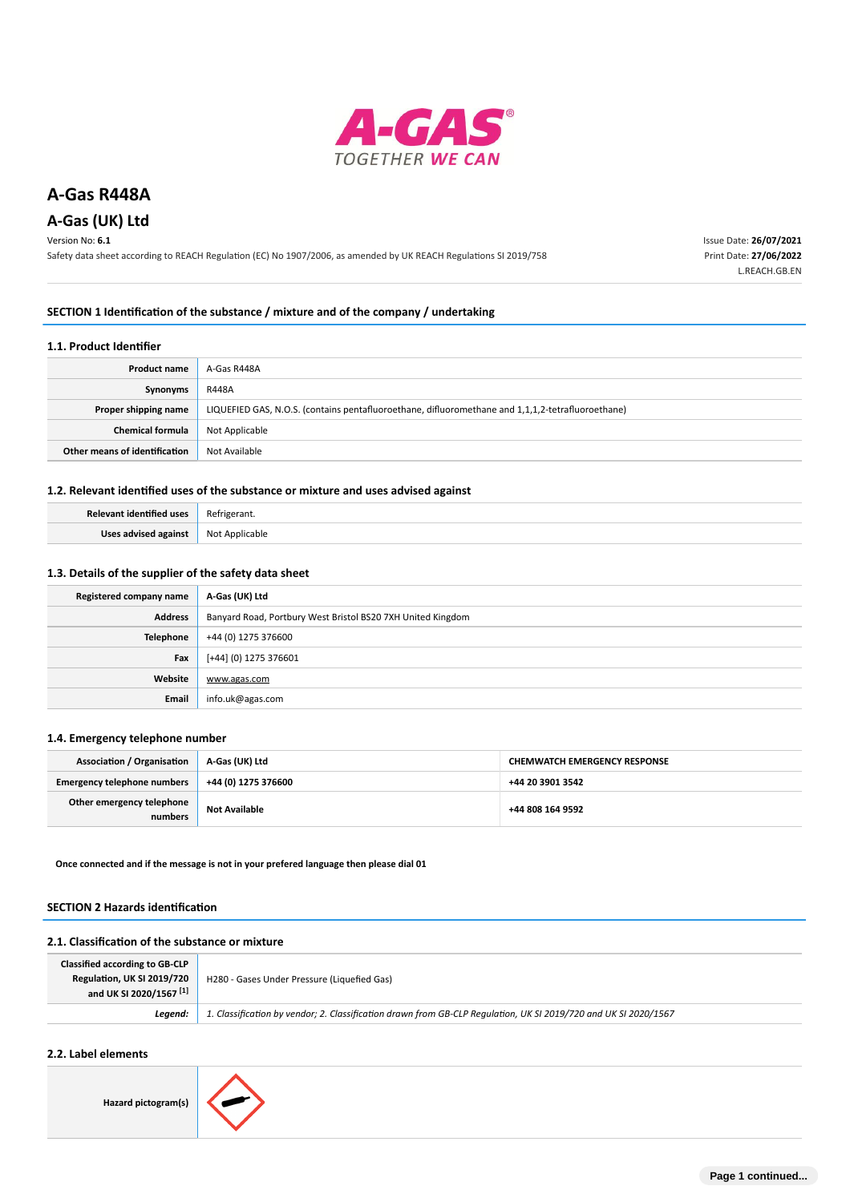

# **A-Gas (UK) Ltd**

Version No: **6.1**

Safety data sheet according to REACH Regulation (EC) No 1907/2006, as amended by UK REACH Regulations SI 2019/758

Issue Date: **26/07/2021** Print Date: **27/06/2022** L.REACH.GB.EN

### **SECTION 1 Identification of the substance / mixture and of the company / undertaking**

#### **1.1. Product Identifier**

| <b>Product name</b>           | A-Gas R448A                                                                                       |
|-------------------------------|---------------------------------------------------------------------------------------------------|
| Synonyms                      | R448A                                                                                             |
| Proper shipping name          | LIQUEFIED GAS, N.O.S. (contains pentafluoroethane, difluoromethane and 1,1,1,2-tetrafluoroethane) |
| <b>Chemical formula</b>       | Not Applicable                                                                                    |
| Other means of identification | Not Available                                                                                     |

# **1.2. Relevant identified uses of the substance or mixture and uses advised against**

| Relevant identified uses | Refrigerant.   |
|--------------------------|----------------|
| Uses advised against     | Not Applicable |

# **1.3. Details of the supplier of the safety data sheet**

| Registered company name | A-Gas (UK) Ltd                                              |
|-------------------------|-------------------------------------------------------------|
| <b>Address</b>          | Banyard Road, Portbury West Bristol BS20 7XH United Kingdom |
| <b>Telephone</b>        | +44 (0) 1275 376600                                         |
| Fax                     | [+44] (0) 1275 376601                                       |
| Website                 | www.agas.com                                                |
| Email                   | info.uk@agas.com                                            |

# **1.4. Emergency telephone number**

| <b>Association / Organisation</b>    | A-Gas (UK) Ltd       | <b>CHEMWATCH EMERGENCY RESPONSE</b> |
|--------------------------------------|----------------------|-------------------------------------|
| <b>Emergency telephone numbers</b>   | +44 (0) 1275 376600  | +44 20 3901 3542                    |
| Other emergency telephone<br>numbers | <b>Not Available</b> | +44 808 164 9592                    |

**Once connected and if the message is not in your prefered language then please dial 01**

## **SECTION 2 Hazards identification**

#### **2.1. Classification of the substance or mixture**

| <b>Classified according to GB-CLP</b><br>Regulation, UK SI 2019/720<br>and UK SI 2020/1567 <sup>[1]</sup> | H280 - Gases Under Pressure (Liquefied Gas)                                                                     |
|-----------------------------------------------------------------------------------------------------------|-----------------------------------------------------------------------------------------------------------------|
| Leaend:                                                                                                   | 1. Classification by vendor; 2. Classification drawn from GB-CLP Regulation, UK SI 2019/720 and UK SI 2020/1567 |

# **2.2. Label elements**

**Hazard pictogram(s)**

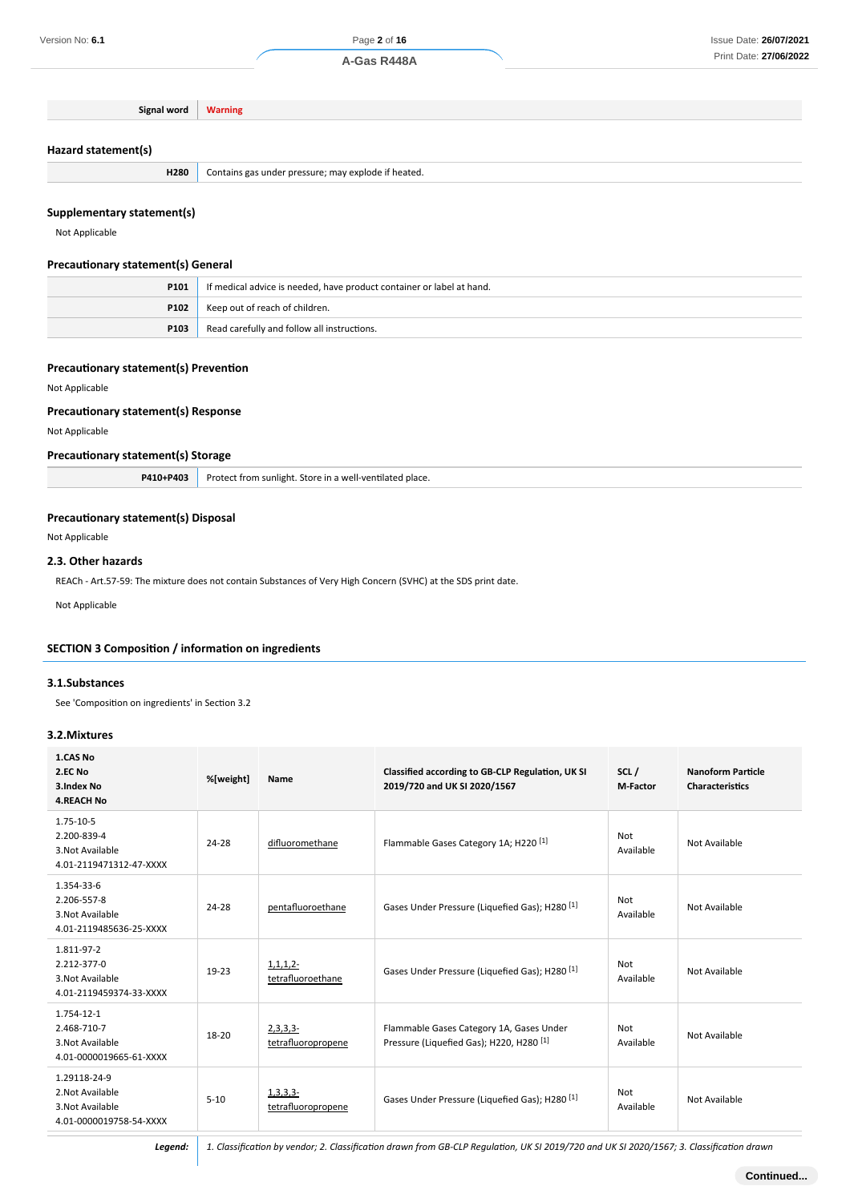# **Hazard statement(s)**

# **Supplementary statement(s)**

# **Precautionary statement(s) General**

| P101 | If medical advice is needed, have product container or label at hand. |
|------|-----------------------------------------------------------------------|
|      | <b>P102</b> Keep out of reach of children.                            |
| P103 | Read carefully and follow all instructions.                           |

#### **Precautionary statement(s) Prevention**

#### **Precautionary statement(s) Response**

# **Precautionary statement(s) Storage**

## **Precautionary statement(s) Disposal**

# **2.3. Other hazards**

#### **SECTION 3 Composition / information on ingredients**

### **3.1.Substances**

# **3.2.Mixtures**

| Version No: 6.1                                                                                                                     |                |                                                          | Page 2 of 16                                                                     |                  | Issue Date: 26/07/202                              |
|-------------------------------------------------------------------------------------------------------------------------------------|----------------|----------------------------------------------------------|----------------------------------------------------------------------------------|------------------|----------------------------------------------------|
|                                                                                                                                     |                |                                                          | A-Gas R448A                                                                      |                  | Print Date: 27/06/202                              |
|                                                                                                                                     |                |                                                          |                                                                                  |                  |                                                    |
| Signal word                                                                                                                         | <b>Warning</b> |                                                          |                                                                                  |                  |                                                    |
|                                                                                                                                     |                |                                                          |                                                                                  |                  |                                                    |
| Hazard statement(s)                                                                                                                 |                |                                                          |                                                                                  |                  |                                                    |
| H280                                                                                                                                |                |                                                          |                                                                                  |                  |                                                    |
|                                                                                                                                     |                | Contains gas under pressure; may explode if heated.      |                                                                                  |                  |                                                    |
| Supplementary statement(s)                                                                                                          |                |                                                          |                                                                                  |                  |                                                    |
| Not Applicable                                                                                                                      |                |                                                          |                                                                                  |                  |                                                    |
|                                                                                                                                     |                |                                                          |                                                                                  |                  |                                                    |
| <b>Precautionary statement(s) General</b>                                                                                           |                |                                                          |                                                                                  |                  |                                                    |
| P101                                                                                                                                |                |                                                          | If medical advice is needed, have product container or label at hand.            |                  |                                                    |
| P102                                                                                                                                |                | Keep out of reach of children.                           |                                                                                  |                  |                                                    |
| P103                                                                                                                                |                | Read carefully and follow all instructions.              |                                                                                  |                  |                                                    |
|                                                                                                                                     |                |                                                          |                                                                                  |                  |                                                    |
| <b>Precautionary statement(s) Prevention</b>                                                                                        |                |                                                          |                                                                                  |                  |                                                    |
| Not Applicable                                                                                                                      |                |                                                          |                                                                                  |                  |                                                    |
| <b>Precautionary statement(s) Response</b>                                                                                          |                |                                                          |                                                                                  |                  |                                                    |
| Not Applicable                                                                                                                      |                |                                                          |                                                                                  |                  |                                                    |
| <b>Precautionary statement(s) Storage</b>                                                                                           |                |                                                          |                                                                                  |                  |                                                    |
| P410+P403                                                                                                                           |                | Protect from sunlight. Store in a well-ventilated place. |                                                                                  |                  |                                                    |
|                                                                                                                                     |                |                                                          |                                                                                  |                  |                                                    |
| <b>Precautionary statement(s) Disposal</b>                                                                                          |                |                                                          |                                                                                  |                  |                                                    |
| Not Applicable                                                                                                                      |                |                                                          |                                                                                  |                  |                                                    |
|                                                                                                                                     |                |                                                          |                                                                                  |                  |                                                    |
| 2.3. Other hazards<br>REACh - Art.57-59: The mixture does not contain Substances of Very High Concern (SVHC) at the SDS print date. |                |                                                          |                                                                                  |                  |                                                    |
|                                                                                                                                     |                |                                                          |                                                                                  |                  |                                                    |
| Not Applicable                                                                                                                      |                |                                                          |                                                                                  |                  |                                                    |
|                                                                                                                                     |                |                                                          |                                                                                  |                  |                                                    |
| <b>SECTION 3 Composition / information on ingredients</b>                                                                           |                |                                                          |                                                                                  |                  |                                                    |
| 3.1.Substances                                                                                                                      |                |                                                          |                                                                                  |                  |                                                    |
| See 'Composition on ingredients' in Section 3.2                                                                                     |                |                                                          |                                                                                  |                  |                                                    |
|                                                                                                                                     |                |                                                          |                                                                                  |                  |                                                    |
| 3.2. Mixtures                                                                                                                       |                |                                                          |                                                                                  |                  |                                                    |
| 1.CAS No                                                                                                                            |                |                                                          |                                                                                  |                  |                                                    |
| 2.EC No<br>3.Index No                                                                                                               | %[weight]      | Name                                                     | Classified according to GB-CLP Regulation, UK SI<br>2019/720 and UK SI 2020/1567 | SCL/<br>M-Factor | <b>Nanoform Particle</b><br><b>Characteristics</b> |
| <b>4.REACH No</b>                                                                                                                   |                |                                                          |                                                                                  |                  |                                                    |
| 1.75-10-5                                                                                                                           |                |                                                          |                                                                                  |                  |                                                    |
| 2.200-839-4                                                                                                                         | 24-28          | difluoromethane                                          | Flammable Gases Category 1A; H220 <sup>[1]</sup>                                 | Not              | Not Available                                      |
| 3. Not Available<br>4.01-2119471312-47-XXXX                                                                                         |                |                                                          |                                                                                  | Available        |                                                    |
| 1.354-33-6                                                                                                                          |                |                                                          |                                                                                  |                  |                                                    |
| 2.206-557-8                                                                                                                         | 24-28          | pentafluoroethane                                        | Gases Under Pressure (Liquefied Gas); H280 <sup>[1]</sup>                        | Not              | Not Available                                      |
| 3. Not Available                                                                                                                    |                |                                                          |                                                                                  | Available        |                                                    |
| 4.01-2119485636-25-XXXX                                                                                                             |                |                                                          |                                                                                  |                  |                                                    |
| 1.811-97-2<br>2.212-377-0                                                                                                           |                | 1, 1, 1, 2                                               |                                                                                  | Not              |                                                    |
| 3. Not Available                                                                                                                    | 19-23          | tetrafluoroethane                                        | Gases Under Pressure (Liquefied Gas); H280 <sup>[1]</sup>                        | Available        | Not Available                                      |
| 4.01-2119459374-33-XXXX                                                                                                             |                |                                                          |                                                                                  |                  |                                                    |
| 1.754-12-1<br>2.468-710-7                                                                                                           |                |                                                          | Flammable Gases Category 1A, Gases Under                                         | Not              |                                                    |
| 3. Not Available                                                                                                                    | 18-20          | $2,3,3,3-$<br>tetrafluoropropene                         | Pressure (Liquefied Gas); H220, H280 <sup>[1]</sup>                              | Available        | Not Available                                      |
| 4.01-0000019665-61-XXXX                                                                                                             |                |                                                          |                                                                                  |                  |                                                    |
| 1.29118-24-9                                                                                                                        |                |                                                          |                                                                                  |                  |                                                    |
| 2. Not Available<br>3. Not Available                                                                                                | $5 - 10$       | 1, 3, 3, 3<br>tetrafluoropropene                         | Gases Under Pressure (Liquefied Gas); H280 <sup>[1]</sup>                        | Not<br>Available | Not Available                                      |
| 4.01-0000019758-54-XXXX                                                                                                             |                |                                                          |                                                                                  |                  |                                                    |

*Legend: 1. Classification by vendor; 2. Classification drawn from GB-CLP Regulation, UK SI 2019/720 and UK SI 2020/1567; 3. Classification drawn*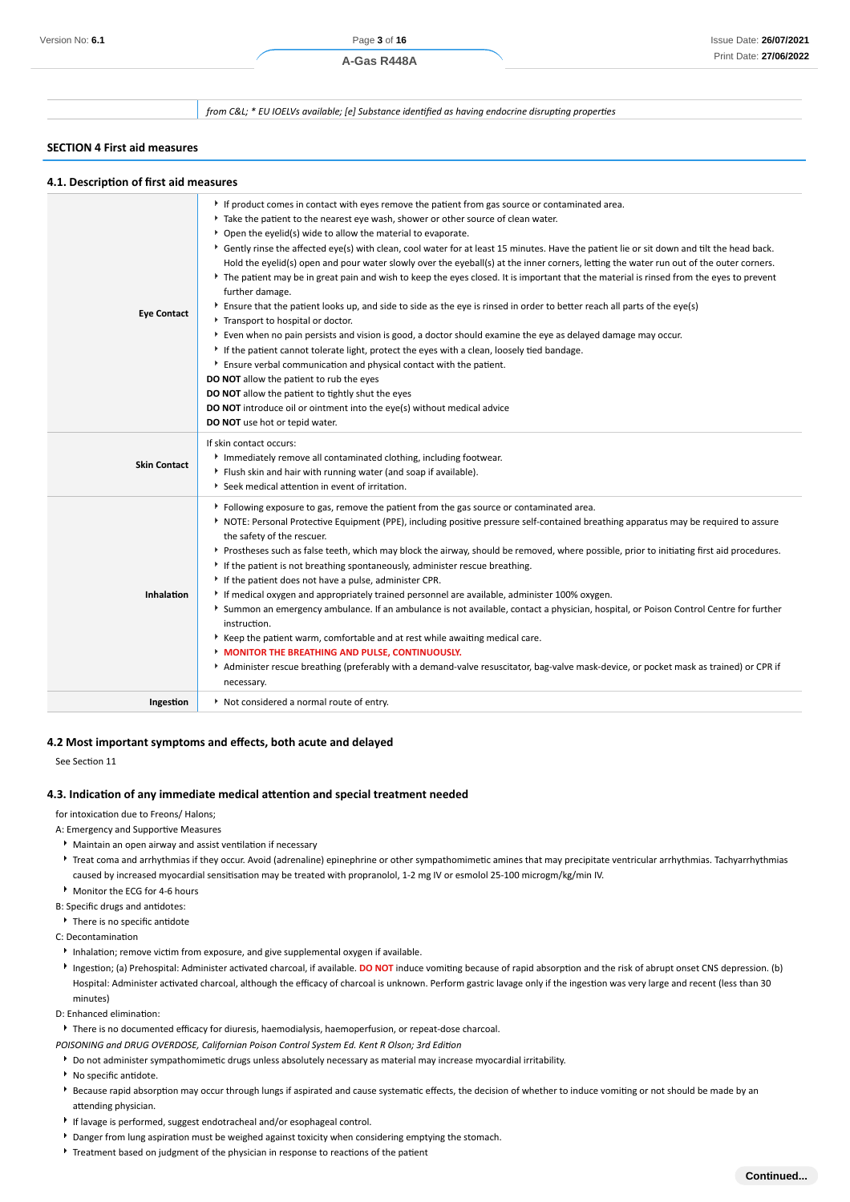*from C&L; \* EU IOELVs available; [e] Substance identified as having endocrine disrupting properties*

### **SECTION 4 First aid measures**

|  | 4.1. Description of first aid measures |  |  |  |
|--|----------------------------------------|--|--|--|
|--|----------------------------------------|--|--|--|

| <b>Eye Contact</b>  | If product comes in contact with eyes remove the patient from gas source or contaminated area.<br>Take the patient to the nearest eye wash, shower or other source of clean water.<br>* Open the eyelid(s) wide to allow the material to evaporate.<br>▶ Gently rinse the affected eye(s) with clean, cool water for at least 15 minutes. Have the patient lie or sit down and tilt the head back.<br>Hold the eyelid(s) open and pour water slowly over the eyeball(s) at the inner corners, letting the water run out of the outer corners.<br>The patient may be in great pain and wish to keep the eyes closed. It is important that the material is rinsed from the eyes to prevent<br>further damage.<br>Ensure that the patient looks up, and side to side as the eye is rinsed in order to better reach all parts of the eye(s)<br>Transport to hospital or doctor.<br>▶ Even when no pain persists and vision is good, a doctor should examine the eye as delayed damage may occur.<br>If the patient cannot tolerate light, protect the eyes with a clean, loosely tied bandage.<br>Ensure verbal communication and physical contact with the patient.<br>DO NOT allow the patient to rub the eyes<br>DO NOT allow the patient to tightly shut the eyes<br>DO NOT introduce oil or ointment into the eye(s) without medical advice<br>DO NOT use hot or tepid water. |
|---------------------|--------------------------------------------------------------------------------------------------------------------------------------------------------------------------------------------------------------------------------------------------------------------------------------------------------------------------------------------------------------------------------------------------------------------------------------------------------------------------------------------------------------------------------------------------------------------------------------------------------------------------------------------------------------------------------------------------------------------------------------------------------------------------------------------------------------------------------------------------------------------------------------------------------------------------------------------------------------------------------------------------------------------------------------------------------------------------------------------------------------------------------------------------------------------------------------------------------------------------------------------------------------------------------------------------------------------------------------------------------------------------------|
| <b>Skin Contact</b> | If skin contact occurs:<br>Immediately remove all contaminated clothing, including footwear.<br>Flush skin and hair with running water (and soap if available).<br>▶ Seek medical attention in event of irritation.                                                                                                                                                                                                                                                                                                                                                                                                                                                                                                                                                                                                                                                                                                                                                                                                                                                                                                                                                                                                                                                                                                                                                            |
| <b>Inhalation</b>   | Following exposure to gas, remove the patient from the gas source or contaminated area.<br>NOTE: Personal Protective Equipment (PPE), including positive pressure self-contained breathing apparatus may be required to assure<br>the safety of the rescuer.<br>▶ Prostheses such as false teeth, which may block the airway, should be removed, where possible, prior to initiating first aid procedures.<br>If the patient is not breathing spontaneously, administer rescue breathing.<br>If the patient does not have a pulse, administer CPR.<br>If medical oxygen and appropriately trained personnel are available, administer 100% oxygen.<br>> Summon an emergency ambulance. If an ambulance is not available, contact a physician, hospital, or Poison Control Centre for further<br>instruction.<br>Keep the patient warm, comfortable and at rest while awaiting medical care.<br><b>MONITOR THE BREATHING AND PULSE, CONTINUOUSLY.</b><br>Administer rescue breathing (preferably with a demand-valve resuscitator, bag-valve mask-device, or pocket mask as trained) or CPR if<br>necessary.                                                                                                                                                                                                                                                                    |
| Ingestion           | Not considered a normal route of entry.                                                                                                                                                                                                                                                                                                                                                                                                                                                                                                                                                                                                                                                                                                                                                                                                                                                                                                                                                                                                                                                                                                                                                                                                                                                                                                                                        |

## **4.2 Most important symptoms and effects, both acute and delayed**

See Section 11

#### **4.3. Indication of any immediate medical attention and special treatment needed**

for intoxication due to Freons/ Halons;

- A: Emergency and Supportive Measures
	- Maintain an open airway and assist ventilation if necessary
	- Freat coma and arrhythmias if they occur. Avoid (adrenaline) epinephrine or other sympathomimetic amines that may precipitate ventricular arrhythmias. Tachyarrhythmias caused by increased myocardial sensitisation may be treated with propranolol, 1-2 mg IV or esmolol 25-100 microgm/kg/min IV.
	- Monitor the ECG for 4-6 hours
- B: Specific drugs and antidotes:
- There is no specific antidote
- C: Decontamination
- Inhalation; remove victim from exposure, and give supplemental oxygen if available.
- Ingestion; (a) Prehospital: Administer activated charcoal, if available. **DO NOT** induce vomiting because of rapid absorption and the risk of abrupt onset CNS depression. (b) Hospital: Administer activated charcoal, although the efficacy of charcoal is unknown. Perform gastric lavage only if the ingestion was very large and recent (less than 30 minutes)
- D: Enhanced elimination:

There is no documented efficacy for diuresis, haemodialysis, haemoperfusion, or repeat-dose charcoal.

*POISONING and DRUG OVERDOSE, Californian Poison Control System Ed. Kent R Olson; 3rd Edition*

- Do not administer sympathomimetic drugs unless absolutely necessary as material may increase myocardial irritability.
- $\blacktriangleright$  No specific antidote.
- **Because rapid absorption may occur through lungs if aspirated and cause systematic effects, the decision of whether to induce vomiting or not should be made by an** attending physician.
- If lavage is performed, suggest endotracheal and/or esophageal control.
- Danger from lung aspiration must be weighed against toxicity when considering emptying the stomach.
- Treatment based on judgment of the physician in response to reactions of the patient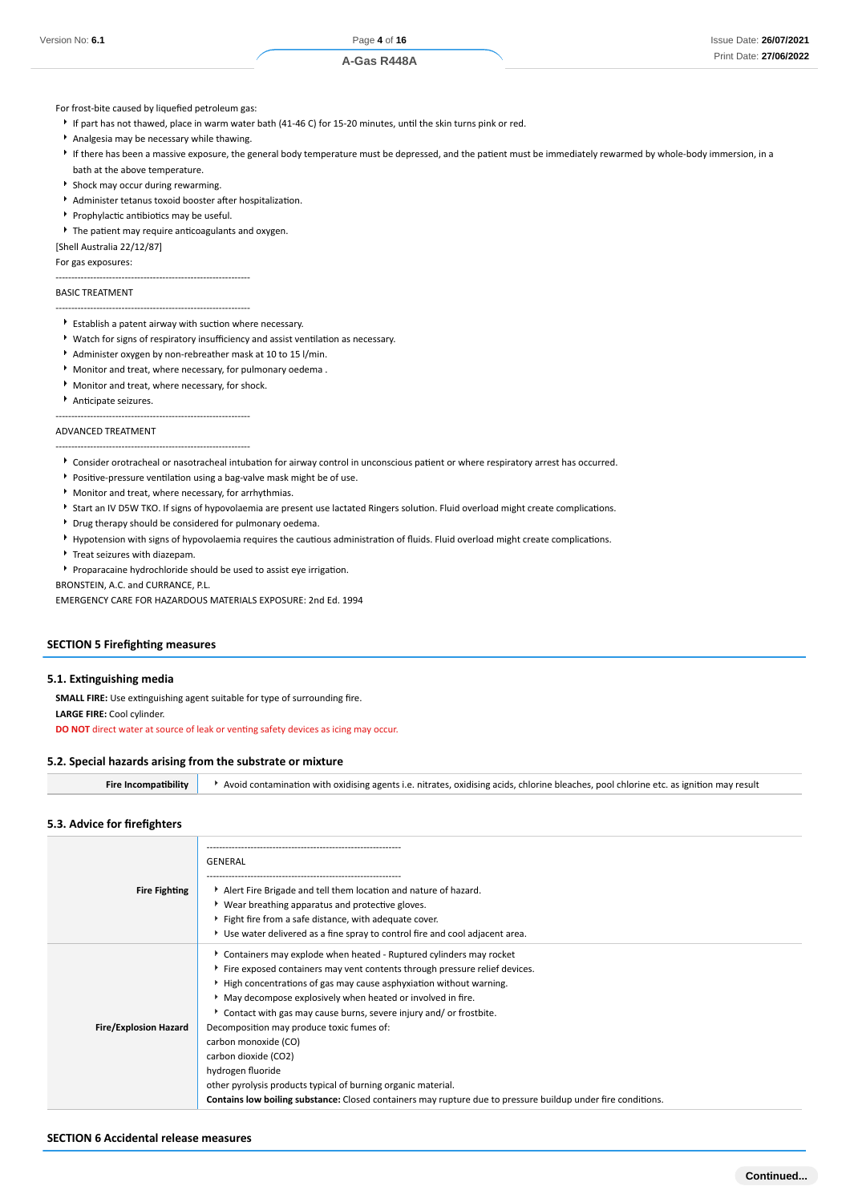#### For frost-bite caused by liquefied petroleum gas:

- If part has not thawed, place in warm water bath (41-46 C) for 15-20 minutes, until the skin turns pink or red.
- Analgesia may be necessary while thawing.
- If there has been a massive exposure, the general body temperature must be depressed, and the patient must be immediately rewarmed by whole-body immersion, in a bath at the above temperature.
- Shock may occur during rewarming.
- Administer tetanus toxoid booster after hospitalization.
- **Prophylactic antibiotics may be useful.**

--------------------------------------------------------------

<sup>•</sup> The patient may require anticoagulants and oxygen.

[Shell Australia 22/12/87]

For gas exposures:

#### BASIC TREATMENT

# --------------------------------------------------------------

- Establish a patent airway with suction where necessary.
- Watch for signs of respiratory insufficiency and assist ventilation as necessary.
- Administer oxygen by non-rebreather mask at 10 to 15 l/min.
- Monitor and treat, where necessary, for pulmonary oedema .
- Monitor and treat, where necessary, for shock.
- Anticipate seizures.

--------------------------------------------------------------

--------------------------------------------------------------

### ADVANCED TREATMENT

# Consider orotracheal or nasotracheal intubation for airway control in unconscious patient or where respiratory arrest has occurred.

- Positive-pressure ventilation using a bag-valve mask might be of use.
- Monitor and treat, where necessary, for arrhythmias.
- Start an IV D5W TKO. If signs of hypovolaemia are present use lactated Ringers solution. Fluid overload might create complications.
- Drug therapy should be considered for pulmonary oedema.
- Hypotension with signs of hypovolaemia requires the cautious administration of fluids. Fluid overload might create complications.
- **F** Treat seizures with diazepam.
- Proparacaine hydrochloride should be used to assist eye irrigation.

BRONSTEIN, A.C. and CURRANCE, P.L.

EMERGENCY CARE FOR HAZARDOUS MATERIALS EXPOSURE: 2nd Ed. 1994

#### **SECTION 5 Firefighting measures**

#### **5.1. Extinguishing media**

**SMALL FIRE:** Use extinguishing agent suitable for type of surrounding fire. **LARGE FIRE:** Cool cylinder.

**DO NOT** direct water at source of leak or venting safety devices as icing may occur.

#### **5.2. Special hazards arising from the substrate or mixture**

**5.3. Advice for firefighters**

**Fire Incompatibility Avoid contamination with oxidising agents i.e. nitrates, oxidising acids, chlorine bleaches, pool chlorine etc. as ignition may result** 

|                              | GENERAL                                                                                                      |
|------------------------------|--------------------------------------------------------------------------------------------------------------|
| <b>Fire Fighting</b>         | Alert Fire Brigade and tell them location and nature of hazard.                                              |
|                              | ▶ Wear breathing apparatus and protective gloves.                                                            |
|                              | Fight fire from a safe distance, with adequate cover.                                                        |
|                              | Use water delivered as a fine spray to control fire and cool adjacent area.                                  |
|                              | ▶ Containers may explode when heated - Ruptured cylinders may rocket                                         |
|                              | Fire exposed containers may vent contents through pressure relief devices.                                   |
|                              | High concentrations of gas may cause asphyxiation without warning.                                           |
|                              | May decompose explosively when heated or involved in fire.                                                   |
|                              | Contact with gas may cause burns, severe injury and/ or frostbite.                                           |
| <b>Fire/Explosion Hazard</b> | Decomposition may produce toxic fumes of:                                                                    |
|                              | carbon monoxide (CO)                                                                                         |
|                              | carbon dioxide (CO2)                                                                                         |
|                              | hydrogen fluoride                                                                                            |
|                              | other pyrolysis products typical of burning organic material.                                                |
|                              | Contains low boiling substance: Closed containers may rupture due to pressure buildup under fire conditions. |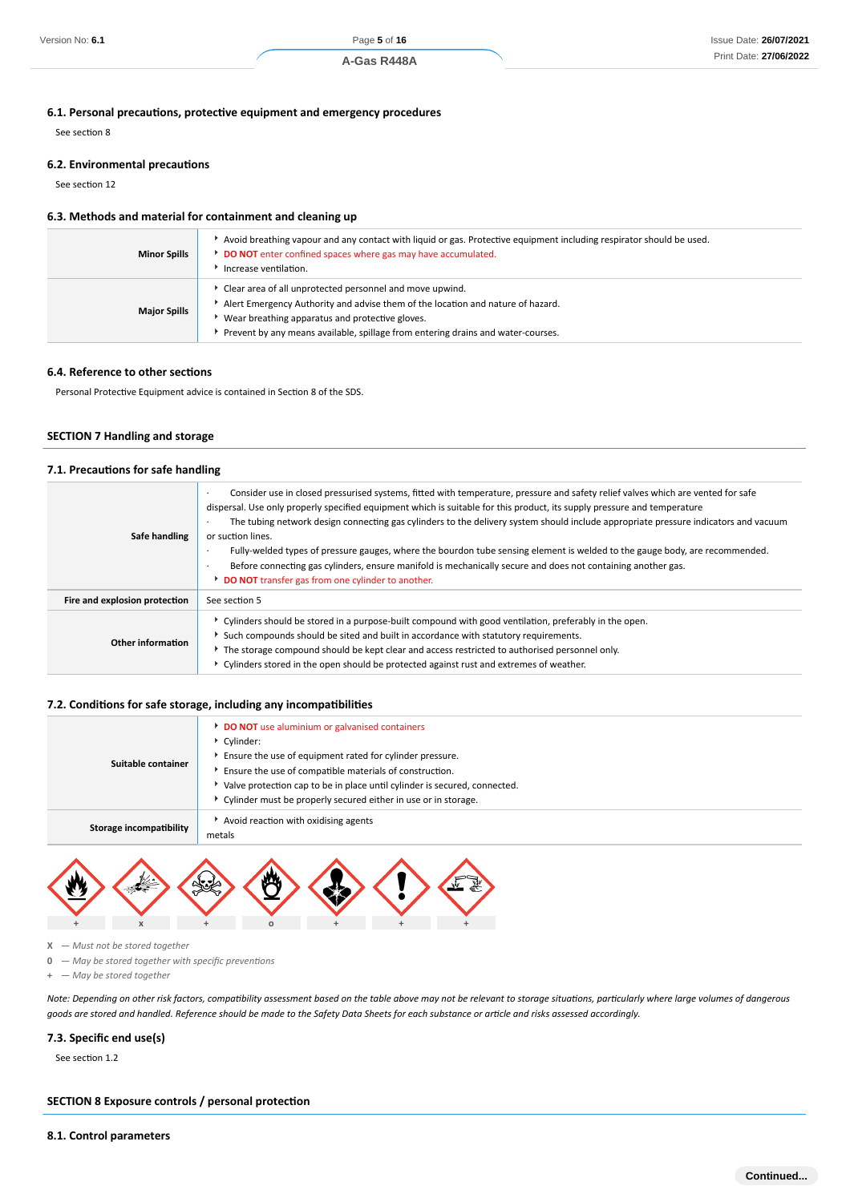# **6.1. Personal precautions, protective equipment and emergency procedures**

See section 8

# **6.2. Environmental precautions**

See section 12

# **6.3. Methods and material for containment and cleaning up**

| <b>Minor Spills</b> | ▶ Avoid breathing vapour and any contact with liquid or gas. Protective equipment including respirator should be used.<br>DO NOT enter confined spaces where gas may have accumulated.<br>Increase ventilation.                                                                    |
|---------------------|------------------------------------------------------------------------------------------------------------------------------------------------------------------------------------------------------------------------------------------------------------------------------------|
| <b>Major Spills</b> | Clear area of all unprotected personnel and move upwind.<br>Alert Emergency Authority and advise them of the location and nature of hazard.<br>Wear breathing apparatus and protective gloves.<br>Prevent by any means available, spillage from entering drains and water-courses. |

#### **6.4. Reference to other sections**

Personal Protective Equipment advice is contained in Section 8 of the SDS.

# **SECTION 7 Handling and storage**

# **7.1. Precautions for safe handling**

| Safe handling                 | Consider use in closed pressurised systems, fitted with temperature, pressure and safety relief valves which are vented for safe<br>$\cdot$<br>dispersal. Use only properly specified equipment which is suitable for this product, its supply pressure and temperature<br>The tubing network design connecting gas cylinders to the delivery system should include appropriate pressure indicators and vacuum<br>or suction lines.<br>Fully-welded types of pressure gauges, where the bourdon tube sensing element is welded to the gauge body, are recommended.<br>Before connecting gas cylinders, ensure manifold is mechanically secure and does not containing another gas.<br><b>DO NOT</b> transfer gas from one cylinder to another. |
|-------------------------------|------------------------------------------------------------------------------------------------------------------------------------------------------------------------------------------------------------------------------------------------------------------------------------------------------------------------------------------------------------------------------------------------------------------------------------------------------------------------------------------------------------------------------------------------------------------------------------------------------------------------------------------------------------------------------------------------------------------------------------------------|
| Fire and explosion protection | See section 5                                                                                                                                                                                                                                                                                                                                                                                                                                                                                                                                                                                                                                                                                                                                  |
| Other information             | ► Cylinders should be stored in a purpose-built compound with good ventilation, preferably in the open.<br>Such compounds should be sited and built in accordance with statutory requirements.<br>• The storage compound should be kept clear and access restricted to authorised personnel only.<br>• Cylinders stored in the open should be protected against rust and extremes of weather.                                                                                                                                                                                                                                                                                                                                                  |

#### **7.2. Conditions for safe storage, including any incompatibilities**

| Suitable container      | <b>DO NOT</b> use aluminium or galvanised containers<br>Cvlinder:<br>Ensure the use of equipment rated for cylinder pressure.<br>Ensure the use of compatible materials of construction.<br>Valve protection cap to be in place until cylinder is secured, connected.<br>Cylinder must be properly secured either in use or in storage. |
|-------------------------|-----------------------------------------------------------------------------------------------------------------------------------------------------------------------------------------------------------------------------------------------------------------------------------------------------------------------------------------|
| Storage incompatibility | Avoid reaction with oxidising agents<br>metals                                                                                                                                                                                                                                                                                          |



- **X**  *Must not be stored together*
- **0**  *May be stored together with specific preventions*
- **+**  *May be stored together*

*Note: Depending on other risk factors, compatibility assessment based on the table above may not be relevant to storage situations, particularly where large volumes of dangerous goods are stored and handled. Reference should be made to the Safety Data Sheets for each substance or article and risks assessed accordingly.*

#### **7.3. Specific end use(s)**

See section 1.2

### **SECTION 8 Exposure controls / personal protection**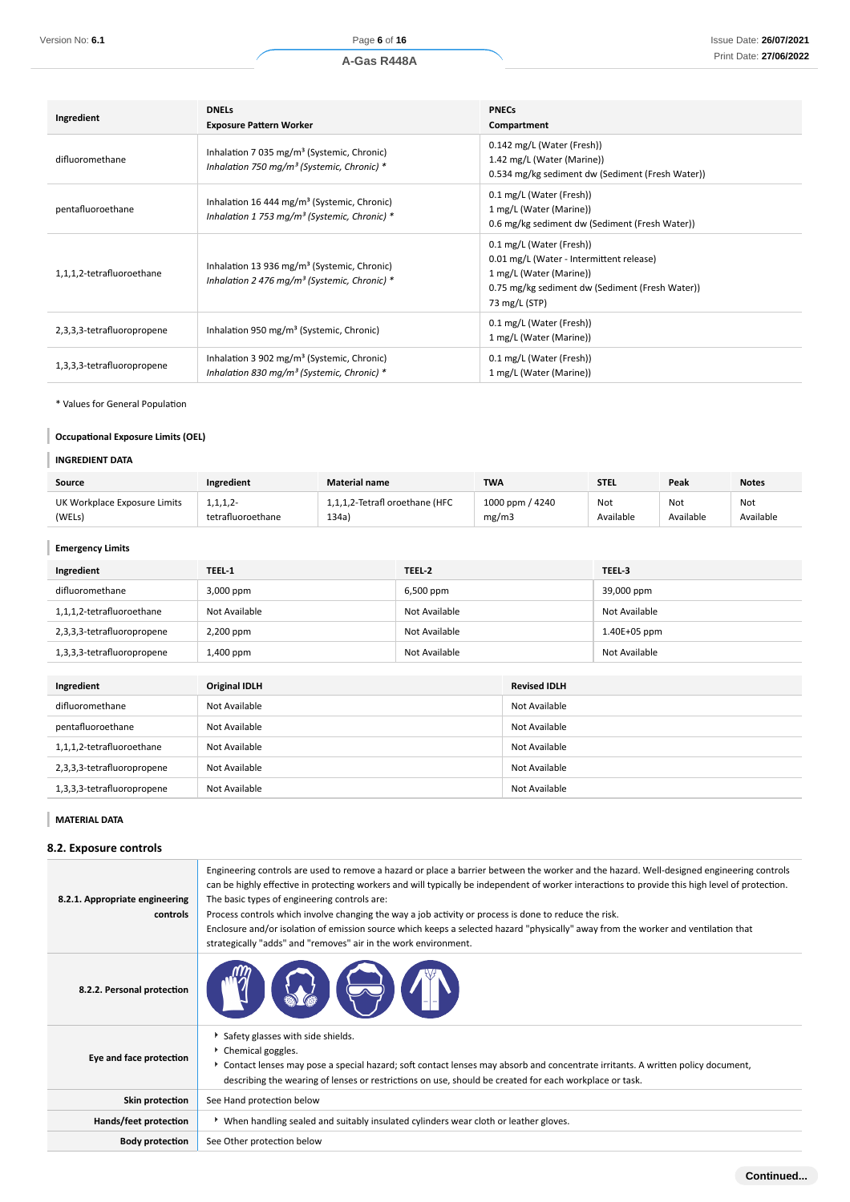| Ingredient                 | <b>DNELS</b><br><b>Exposure Pattern Worker</b>                                                                      | <b>PNECs</b><br>Compartment                                                                                                                                         |
|----------------------------|---------------------------------------------------------------------------------------------------------------------|---------------------------------------------------------------------------------------------------------------------------------------------------------------------|
| difluoromethane            | Inhalation 7 035 mg/m <sup>3</sup> (Systemic, Chronic)<br>Inhalation 750 mg/m <sup>3</sup> (Systemic, Chronic) $*$  | 0.142 mg/L (Water (Fresh))<br>1.42 mg/L (Water (Marine))<br>0.534 mg/kg sediment dw (Sediment (Fresh Water))                                                        |
| pentafluoroethane          | Inhalation 16 444 mg/m <sup>3</sup> (Systemic, Chronic)<br>Inhalation 1 753 mg/m <sup>3</sup> (Systemic, Chronic) * | 0.1 mg/L (Water (Fresh))<br>1 mg/L (Water (Marine))<br>0.6 mg/kg sediment dw (Sediment (Fresh Water))                                                               |
| 1,1,1,2-tetrafluoroethane  | Inhalation 13 936 mg/m <sup>3</sup> (Systemic, Chronic)<br>Inhalation 2 476 mg/m <sup>3</sup> (Systemic, Chronic) * | 0.1 mg/L (Water (Fresh))<br>0.01 mg/L (Water - Intermittent release)<br>1 mg/L (Water (Marine))<br>0.75 mg/kg sediment dw (Sediment (Fresh Water))<br>73 mg/L (STP) |
| 2,3,3,3-tetrafluoropropene | Inhalation 950 mg/m <sup>3</sup> (Systemic, Chronic)                                                                | 0.1 mg/L (Water (Fresh))<br>1 mg/L (Water (Marine))                                                                                                                 |
| 1,3,3,3-tetrafluoropropene | Inhalation 3 902 mg/m <sup>3</sup> (Systemic, Chronic)<br>Inhalation 830 mg/m <sup>3</sup> (Systemic, Chronic) *    | 0.1 mg/L (Water (Fresh))<br>1 mg/L (Water (Marine))                                                                                                                 |

\* Values for General Population

# **Occupational Exposure Limits (OEL)**

# **INGREDIENT DATA**

| Source                       | Ingredient        | <b>Material name</b>           | <b>TWA</b>      | <b>STEL</b> | Peak      | <b>Notes</b> |
|------------------------------|-------------------|--------------------------------|-----------------|-------------|-----------|--------------|
| UK Workplace Exposure Limits | 1, 1, 1, 2        | 1,1,1,2-Tetrafl oroethane (HFC | 1000 ppm / 4240 | Not         | Not       | Not          |
| (WELs)                       | tetrafluoroethane | 134a)                          | mg/m3           | Available   | Available | Available    |

# **Emergency Limits**

| Ingredient                 | TEEL-1        | TEEL-2        | TEEL-3        |
|----------------------------|---------------|---------------|---------------|
| difluoromethane            | 3,000 ppm     | 6,500 ppm     | 39,000 ppm    |
| 1,1,1,2-tetrafluoroethane  | Not Available | Not Available | Not Available |
| 2,3,3,3-tetrafluoropropene | 2,200 ppm     | Not Available | 1.40E+05 ppm  |
| 1,3,3,3-tetrafluoropropene | 1,400 ppm     | Not Available | Not Available |

| Ingredient                 | <b>Original IDLH</b> | <b>Revised IDLH</b> |
|----------------------------|----------------------|---------------------|
| difluoromethane            | Not Available        | Not Available       |
| pentafluoroethane          | Not Available        | Not Available       |
| 1,1,1,2-tetrafluoroethane  | Not Available        | Not Available       |
| 2,3,3,3-tetrafluoropropene | Not Available        | Not Available       |
| 1,3,3,3-tetrafluoropropene | Not Available        | Not Available       |

**MATERIAL DATA**

# **8.2. Exposure controls**

| 8.2.1. Appropriate engineering<br>controls | Engineering controls are used to remove a hazard or place a barrier between the worker and the hazard. Well-designed engineering controls<br>can be highly effective in protecting workers and will typically be independent of worker interactions to provide this high level of protection.<br>The basic types of engineering controls are:<br>Process controls which involve changing the way a job activity or process is done to reduce the risk.<br>Enclosure and/or isolation of emission source which keeps a selected hazard "physically" away from the worker and ventilation that<br>strategically "adds" and "removes" air in the work environment. |
|--------------------------------------------|-----------------------------------------------------------------------------------------------------------------------------------------------------------------------------------------------------------------------------------------------------------------------------------------------------------------------------------------------------------------------------------------------------------------------------------------------------------------------------------------------------------------------------------------------------------------------------------------------------------------------------------------------------------------|
| 8.2.2. Personal protection                 |                                                                                                                                                                                                                                                                                                                                                                                                                                                                                                                                                                                                                                                                 |
| Eye and face protection                    | Safety glasses with side shields.<br>▶ Chemical goggles.<br>▶ Contact lenses may pose a special hazard; soft contact lenses may absorb and concentrate irritants. A written policy document,<br>describing the wearing of lenses or restrictions on use, should be created for each workplace or task.                                                                                                                                                                                                                                                                                                                                                          |
| Skin protection                            | See Hand protection below                                                                                                                                                                                                                                                                                                                                                                                                                                                                                                                                                                                                                                       |
| Hands/feet protection                      | ▶ When handling sealed and suitably insulated cylinders wear cloth or leather gloves.                                                                                                                                                                                                                                                                                                                                                                                                                                                                                                                                                                           |
| <b>Body protection</b>                     | See Other protection below                                                                                                                                                                                                                                                                                                                                                                                                                                                                                                                                                                                                                                      |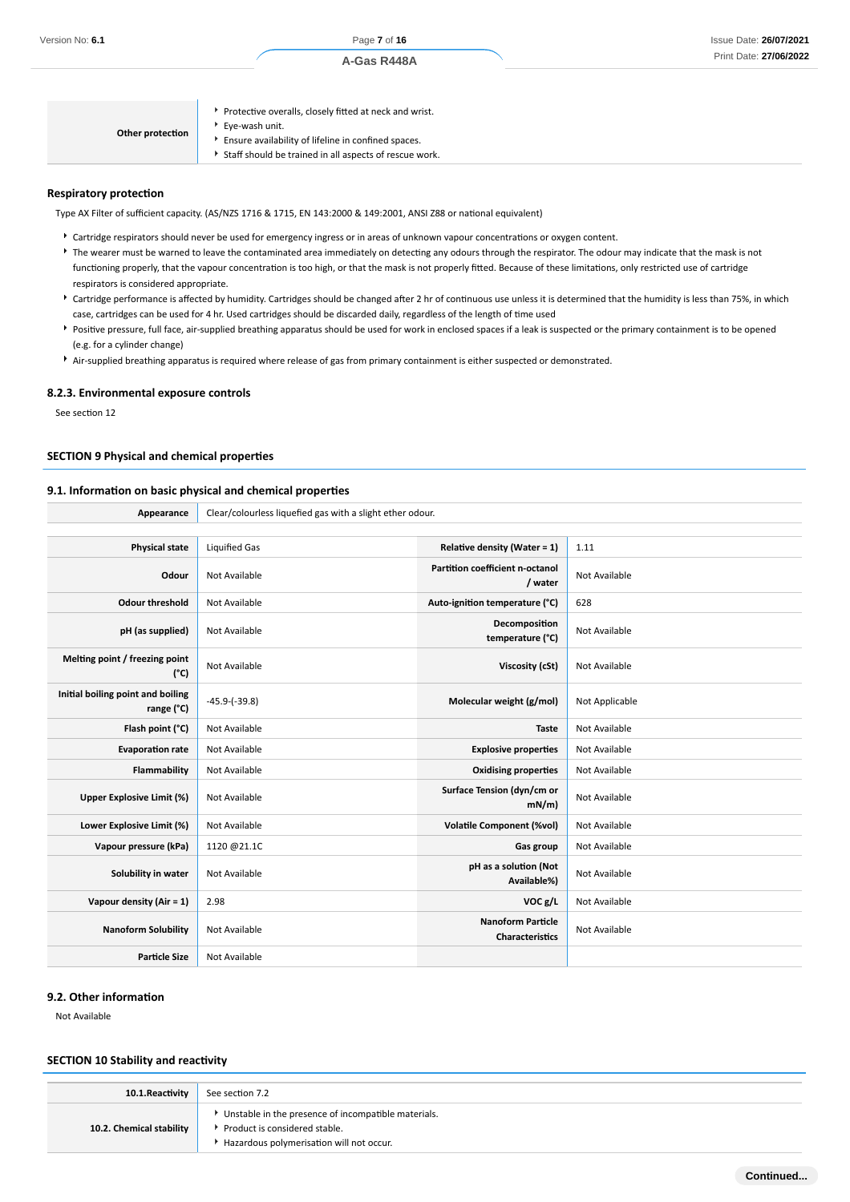| Other protection | Protective overalls, closely fitted at neck and wrist.<br>Eye-wash unit.<br>Ensure availability of lifeline in confined spaces.<br>Staff should be trained in all aspects of rescue work. |
|------------------|-------------------------------------------------------------------------------------------------------------------------------------------------------------------------------------------|
|------------------|-------------------------------------------------------------------------------------------------------------------------------------------------------------------------------------------|

# **Respiratory protection**

Type AX Filter of sufficient capacity. (AS/NZS 1716 & 1715, EN 143:2000 & 149:2001, ANSI Z88 or national equivalent)

- Cartridge respirators should never be used for emergency ingress or in areas of unknown vapour concentrations or oxygen content. The wearer must be warned to leave the contaminated area immediately on detecting any odours through the respirator. The odour may indicate that the mask is not functioning properly, that the vapour concentration is too high, or that the mask is not properly fitted. Because of these limitations, only restricted use of cartridge respirators is considered appropriate.
- Cartridge performance is affected by humidity. Cartridges should be changed after 2 hr of continuous use unless it is determined that the humidity is less than 75%, in which case, cartridges can be used for 4 hr. Used cartridges should be discarded daily, regardless of the length of time used
- Positive pressure, full face, air-supplied breathing apparatus should be used for work in enclosed spaces if a leak is suspected or the primary containment is to be opened (e.g. for a cylinder change)
- Air-supplied breathing apparatus is required where release of gas from primary containment is either suspected or demonstrated.

#### **8.2.3. Environmental exposure controls**

See section 12

#### **SECTION 9 Physical and chemical properties**

# **9.1. Information on basic physical and chemical properties**

Appearance **Clear/colourless liquefied gas with a slight ether odour.** 

| <b>Physical state</b>                           | <b>Liquified Gas</b> | <b>Relative density (Water = 1)</b>                | 1.11           |
|-------------------------------------------------|----------------------|----------------------------------------------------|----------------|
| Odour                                           | Not Available        | Partition coefficient n-octanol<br>/ water         | Not Available  |
| <b>Odour threshold</b>                          | Not Available        | Auto-ignition temperature (°C)                     | 628            |
| pH (as supplied)                                | Not Available        | Decomposition<br>temperature (°C)                  | Not Available  |
| Melting point / freezing point<br>$(^{\circ}C)$ | Not Available        | Viscosity (cSt)                                    | Not Available  |
| Initial boiling point and boiling<br>range (°C) | $-45.9-(-39.8)$      | Molecular weight (g/mol)                           | Not Applicable |
| Flash point (°C)                                | Not Available        | <b>Taste</b>                                       | Not Available  |
| <b>Evaporation rate</b>                         | Not Available        | <b>Explosive properties</b>                        | Not Available  |
| Flammability                                    | Not Available        | <b>Oxidising properties</b>                        | Not Available  |
| <b>Upper Explosive Limit (%)</b>                | Not Available        | Surface Tension (dyn/cm or<br>mN/m                 | Not Available  |
| Lower Explosive Limit (%)                       | Not Available        | <b>Volatile Component (%vol)</b>                   | Not Available  |
| Vapour pressure (kPa)                           | 1120 @21.1C          | Gas group                                          | Not Available  |
| Solubility in water                             | Not Available        | pH as a solution (Not<br>Available%)               | Not Available  |
| Vapour density (Air = 1)                        | 2.98                 | VOC g/L                                            | Not Available  |
| <b>Nanoform Solubility</b>                      | Not Available        | <b>Nanoform Particle</b><br><b>Characteristics</b> | Not Available  |
| <b>Particle Size</b>                            | Not Available        |                                                    |                |

# **9.2. Other information**

Not Available

#### **SECTION 10 Stability and reactivity**

| 10.1. Reactivity         | See section 7.2                                                                                                                  |
|--------------------------|----------------------------------------------------------------------------------------------------------------------------------|
| 10.2. Chemical stability | Unstable in the presence of incompatible materials.<br>Product is considered stable.<br>Hazardous polymerisation will not occur. |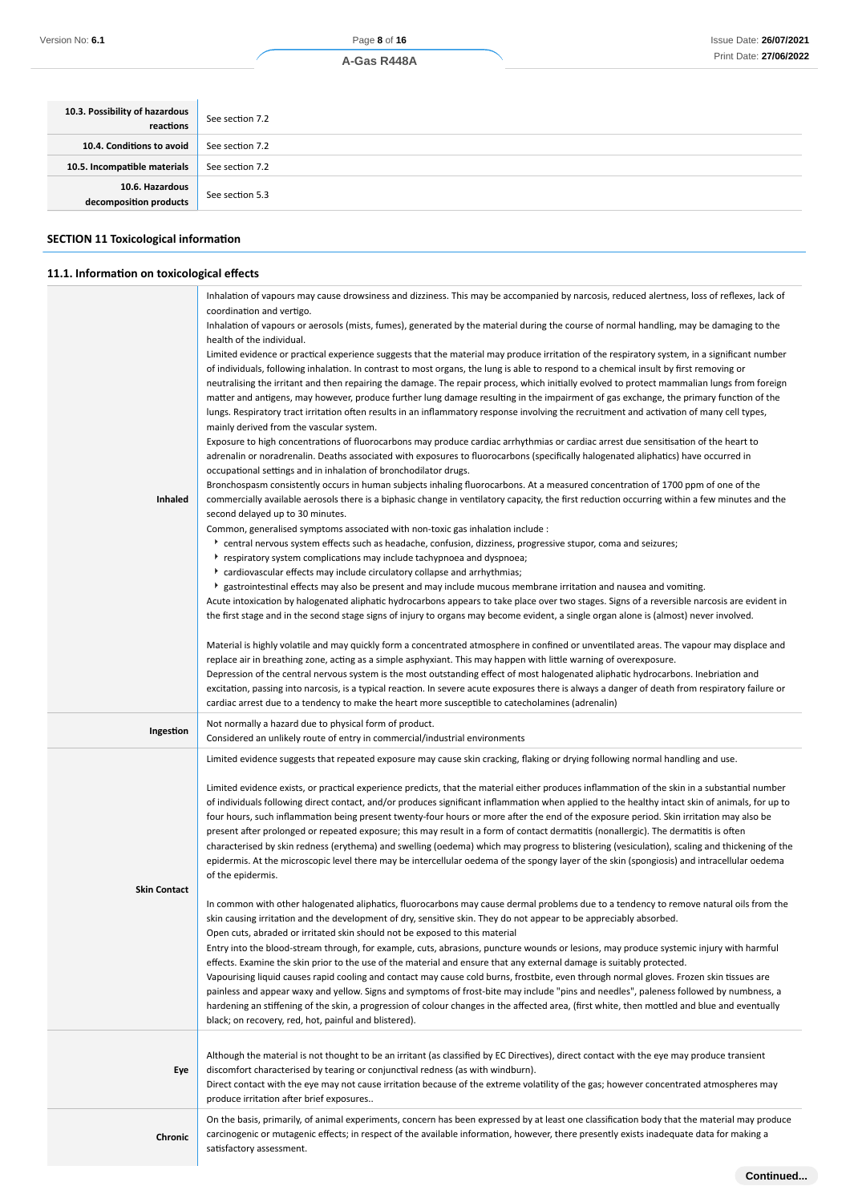| 10.3. Possibility of hazardous<br>reactions | See section 7.2 |
|---------------------------------------------|-----------------|
| 10.4. Conditions to avoid                   | See section 7.2 |
| 10.5. Incompatible materials                | See section 7.2 |
| 10.6. Hazardous<br>decomposition products   | See section 5.3 |
|                                             |                 |

#### **SECTION 11 Toxicological information**

**11.1. Information on toxicological effects**

# **Inhaled** Inhalation of vapours may cause drowsiness and dizziness. This may be accompanied by narcosis, reduced alertness, loss of reflexes, lack of coordination and vertigo. Inhalation of vapours or aerosols (mists, fumes), generated by the material during the course of normal handling, may be damaging to the health of the individual. Limited evidence or practical experience suggests that the material may produce irritation of the respiratory system, in a significant number of individuals, following inhalation. In contrast to most organs, the lung is able to respond to a chemical insult by first removing or neutralising the irritant and then repairing the damage. The repair process, which initially evolved to protect mammalian lungs from foreign matter and antigens, may however, produce further lung damage resulting in the impairment of gas exchange, the primary function of the lungs. Respiratory tract irritation often results in an inflammatory response involving the recruitment and activation of many cell types, mainly derived from the vascular system. Exposure to high concentrations of fluorocarbons may produce cardiac arrhythmias or cardiac arrest due sensitisation of the heart to adrenalin or noradrenalin. Deaths associated with exposures to fluorocarbons (specifically halogenated aliphatics) have occurred in occupational settings and in inhalation of bronchodilator drugs. Bronchospasm consistently occurs in human subjects inhaling fluorocarbons. At a measured concentration of 1700 ppm of one of the commercially available aerosols there is a biphasic change in ventilatory capacity, the first reduction occurring within a few minutes and the second delayed up to 30 minutes. Common, generalised symptoms associated with non-toxic gas inhalation include : central nervous system effects such as headache, confusion, dizziness, progressive stupor, coma and seizures; respiratory system complications may include tachypnoea and dyspnoea; cardiovascular effects may include circulatory collapse and arrhythmias; gastrointestinal effects may also be present and may include mucous membrane irritation and nausea and vomiting. Acute intoxication by halogenated aliphatic hydrocarbons appears to take place over two stages. Signs of a reversible narcosis are evident in the first stage and in the second stage signs of injury to organs may become evident, a single organ alone is (almost) never involved. Material is highly volatile and may quickly form a concentrated atmosphere in confined or unventilated areas. The vapour may displace and replace air in breathing zone, acting as a simple asphyxiant. This may happen with little warning of overexposure. Depression of the central nervous system is the most outstanding effect of most halogenated aliphatic hydrocarbons. Inebriation and excitation, passing into narcosis, is a typical reaction. In severe acute exposures there is always a danger of death from respiratory failure or cardiac arrest due to a tendency to make the heart more susceptible to catecholamines (adrenalin) **Ingestion** Not normally a hazard due to physical form of product. Considered an unlikely route of entry in commercial/industrial environments **Skin Contact** Limited evidence suggests that repeated exposure may cause skin cracking, flaking or drying following normal handling and use. Limited evidence exists, or practical experience predicts, that the material either produces inflammation of the skin in a substantial number of individuals following direct contact, and/or produces significant inflammation when applied to the healthy intact skin of animals, for up to four hours, such inflammation being present twenty-four hours or more after the end of the exposure period. Skin irritation may also be present after prolonged or repeated exposure; this may result in a form of contact dermatitis (nonallergic). The dermatitis is often characterised by skin redness (erythema) and swelling (oedema) which may progress to blistering (vesiculation), scaling and thickening of the epidermis. At the microscopic level there may be intercellular oedema of the spongy layer of the skin (spongiosis) and intracellular oedema of the epidermis. In common with other halogenated aliphatics, fluorocarbons may cause dermal problems due to a tendency to remove natural oils from the skin causing irritation and the development of dry, sensitive skin. They do not appear to be appreciably absorbed. Open cuts, abraded or irritated skin should not be exposed to this material Entry into the blood-stream through, for example, cuts, abrasions, puncture wounds or lesions, may produce systemic injury with harmful effects. Examine the skin prior to the use of the material and ensure that any external damage is suitably protected. Vapourising liquid causes rapid cooling and contact may cause cold burns, frostbite, even through normal gloves. Frozen skin tissues are painless and appear waxy and yellow. Signs and symptoms of frost-bite may include "pins and needles", paleness followed by numbness, a hardening an stiffening of the skin, a progression of colour changes in the affected area, (first white, then mottled and blue and eventually black; on recovery, red, hot, painful and blistered). **Eye** Although the material is not thought to be an irritant (as classified by EC Directives), direct contact with the eye may produce transient discomfort characterised by tearing or conjunctival redness (as with windburn). Direct contact with the eye may not cause irritation because of the extreme volatility of the gas; however concentrated atmospheres may produce irritation after brief exposures.. **Chronic** On the basis, primarily, of animal experiments, concern has been expressed by at least one classification body that the material may produce carcinogenic or mutagenic effects; in respect of the available information, however, there presently exists inadequate data for making a satisfactory assessment. **Continued...**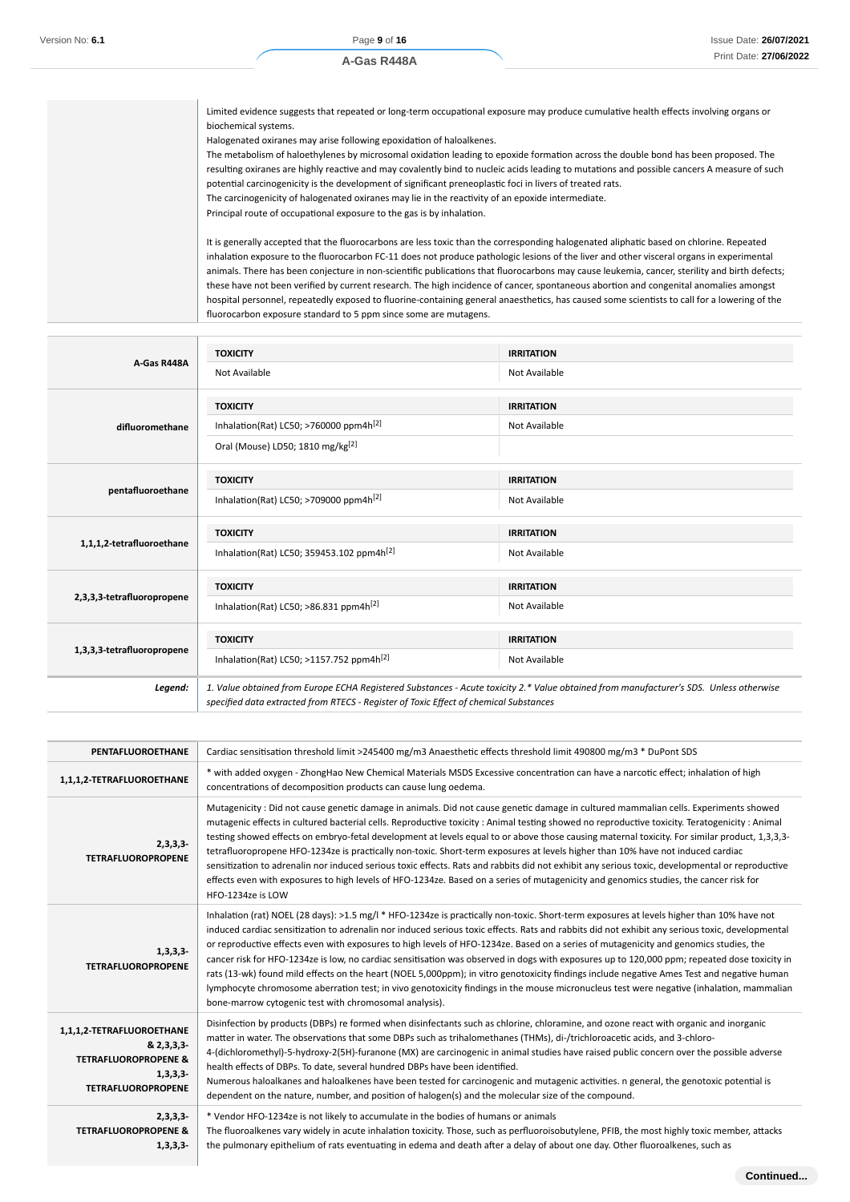Limited evidence suggests that repeated or long-term occupational exposure may produce cumulative health effects involving organs or biochemical systems.

Halogenated oxiranes may arise following epoxidation of haloalkenes.

The metabolism of haloethylenes by microsomal oxidation leading to epoxide formation across the double bond has been proposed. The resulting oxiranes are highly reactive and may covalently bind to nucleic acids leading to mutations and possible cancers A measure of such potential carcinogenicity is the development of significant preneoplastic foci in livers of treated rats.

The carcinogenicity of halogenated oxiranes may lie in the reactivity of an epoxide intermediate.

Principal route of occupational exposure to the gas is by inhalation.

It is generally accepted that the fluorocarbons are less toxic than the corresponding halogenated aliphatic based on chlorine. Repeated inhalation exposure to the fluorocarbon FC-11 does not produce pathologic lesions of the liver and other visceral organs in experimental animals. There has been conjecture in non-scientific publications that fluorocarbons may cause leukemia, cancer, sterility and birth defects; these have not been verified by current research. The high incidence of cancer, spontaneous abortion and congenital anomalies amongst hospital personnel, repeatedly exposed to fluorine-containing general anaesthetics, has caused some scientists to call for a lowering of the fluorocarbon exposure standard to 5 ppm since some are mutagens.

| A-Gas R448A                | <b>TOXICITY</b>                                                                       | <b>IRRITATION</b>                                                                                                                      |
|----------------------------|---------------------------------------------------------------------------------------|----------------------------------------------------------------------------------------------------------------------------------------|
|                            | Not Available                                                                         | Not Available                                                                                                                          |
|                            | <b>TOXICITY</b>                                                                       | <b>IRRITATION</b>                                                                                                                      |
| difluoromethane            | Inhalation(Rat) LC50; >760000 ppm4h <sup>[2]</sup>                                    | Not Available                                                                                                                          |
|                            | Oral (Mouse) LD50; 1810 mg/kg <sup>[2]</sup>                                          |                                                                                                                                        |
|                            | <b>TOXICITY</b>                                                                       | <b>IRRITATION</b>                                                                                                                      |
| pentafluoroethane          | Inhalation(Rat) LC50; >709000 ppm4h <sup>[2]</sup>                                    | Not Available                                                                                                                          |
| 1,1,1,2-tetrafluoroethane  | <b>TOXICITY</b>                                                                       | <b>IRRITATION</b>                                                                                                                      |
|                            | Inhalation(Rat) LC50; 359453.102 ppm4h <sup>[2]</sup>                                 | Not Available                                                                                                                          |
|                            |                                                                                       |                                                                                                                                        |
|                            | <b>TOXICITY</b>                                                                       | <b>IRRITATION</b>                                                                                                                      |
| 2,3,3,3-tetrafluoropropene | Inhalation(Rat) LC50; >86.831 ppm4h <sup>[2]</sup>                                    | Not Available                                                                                                                          |
|                            | <b>TOXICITY</b>                                                                       | <b>IRRITATION</b>                                                                                                                      |
| 1,3,3,3-tetrafluoropropene | Inhalation(Rat) LC50; >1157.752 ppm4h <sup>[2]</sup>                                  | Not Available                                                                                                                          |
| Legend:                    | specified data extracted from RTECS - Register of Toxic Effect of chemical Substances | 1. Value obtained from Europe ECHA Registered Substances - Acute toxicity 2.* Value obtained from manufacturer's SDS. Unless otherwise |

| PENTAFLUOROETHANE                                                                                                     | Cardiac sensitisation threshold limit >245400 mg/m3 Anaesthetic effects threshold limit 490800 mg/m3 * DuPont SDS                                                                                                                                                                                                                                                                                                                                                                                                                                                                                                                                                                                                                                                                                                                                                                                                                         |
|-----------------------------------------------------------------------------------------------------------------------|-------------------------------------------------------------------------------------------------------------------------------------------------------------------------------------------------------------------------------------------------------------------------------------------------------------------------------------------------------------------------------------------------------------------------------------------------------------------------------------------------------------------------------------------------------------------------------------------------------------------------------------------------------------------------------------------------------------------------------------------------------------------------------------------------------------------------------------------------------------------------------------------------------------------------------------------|
| 1,1,1,2-TETRAFLUOROETHANE                                                                                             | * with added oxygen - ZhongHao New Chemical Materials MSDS Excessive concentration can have a narcotic effect; inhalation of high<br>concentrations of decomposition products can cause lung oedema.                                                                                                                                                                                                                                                                                                                                                                                                                                                                                                                                                                                                                                                                                                                                      |
| $2,3,3,3-$<br><b>TETRAFLUOROPROPENE</b>                                                                               | Mutagenicity : Did not cause genetic damage in animals. Did not cause genetic damage in cultured mammalian cells. Experiments showed<br>mutagenic effects in cultured bacterial cells. Reproductive toxicity : Animal testing showed no reproductive toxicity. Teratogenicity : Animal<br>testing showed effects on embryo-fetal development at levels equal to or above those causing maternal toxicity. For similar product, 1,3,3,3-<br>tetrafluoropropene HFO-1234ze is practically non-toxic. Short-term exposures at levels higher than 10% have not induced cardiac<br>sensitization to adrenalin nor induced serious toxic effects. Rats and rabbits did not exhibit any serious toxic, developmental or reproductive<br>effects even with exposures to high levels of HFO-1234ze. Based on a series of mutagenicity and genomics studies, the cancer risk for<br>HFO-1234ze is LOW                                               |
| $1,3,3,3-$<br><b>TETRAFLUOROPROPENE</b>                                                                               | Inhalation (rat) NOEL (28 days): >1.5 mg/l * HFO-1234ze is practically non-toxic. Short-term exposures at levels higher than 10% have not<br>induced cardiac sensitization to adrenalin nor induced serious toxic effects. Rats and rabbits did not exhibit any serious toxic, developmental<br>or reproductive effects even with exposures to high levels of HFO-1234ze. Based on a series of mutagenicity and genomics studies, the<br>cancer risk for HFO-1234ze is low, no cardiac sensitisation was observed in dogs with exposures up to 120,000 ppm; repeated dose toxicity in<br>rats (13-wk) found mild effects on the heart (NOEL 5,000ppm); in vitro genotoxicity findings include negative Ames Test and negative human<br>lymphocyte chromosome aberration test; in vivo genotoxicity findings in the mouse micronucleus test were negative (inhalation, mammalian<br>bone-marrow cytogenic test with chromosomal analysis). |
| 1,1,1,2-TETRAFLUOROETHANE<br>& 2,3,3,3-<br><b>TETRAFLUOROPROPENE &amp;</b><br>$1,3,3,3-$<br><b>TETRAFLUOROPROPENE</b> | Disinfection by products (DBPs) re formed when disinfectants such as chlorine, chloramine, and ozone react with organic and inorganic<br>matter in water. The observations that some DBPs such as trihalomethanes (THMs), di-/trichloroacetic acids, and 3-chloro-<br>4-(dichloromethyl)-5-hydroxy-2(5H)-furanone (MX) are carcinogenic in animal studies have raised public concern over the possible adverse<br>health effects of DBPs. To date, several hundred DBPs have been identified.<br>Numerous haloalkanes and haloalkenes have been tested for carcinogenic and mutagenic activities. n general, the genotoxic potential is<br>dependent on the nature, number, and position of halogen(s) and the molecular size of the compound.                                                                                                                                                                                            |
| $2,3,3,3-$<br><b>TETRAFLUOROPROPENE &amp;</b><br>$1,3,3,3-$                                                           | * Vendor HFO-1234ze is not likely to accumulate in the bodies of humans or animals<br>The fluoroalkenes vary widely in acute inhalation toxicity. Those, such as perfluoroisobutylene, PFIB, the most highly toxic member, attacks<br>the pulmonary epithelium of rats eventuating in edema and death after a delay of about one day. Other fluoroalkenes, such as                                                                                                                                                                                                                                                                                                                                                                                                                                                                                                                                                                        |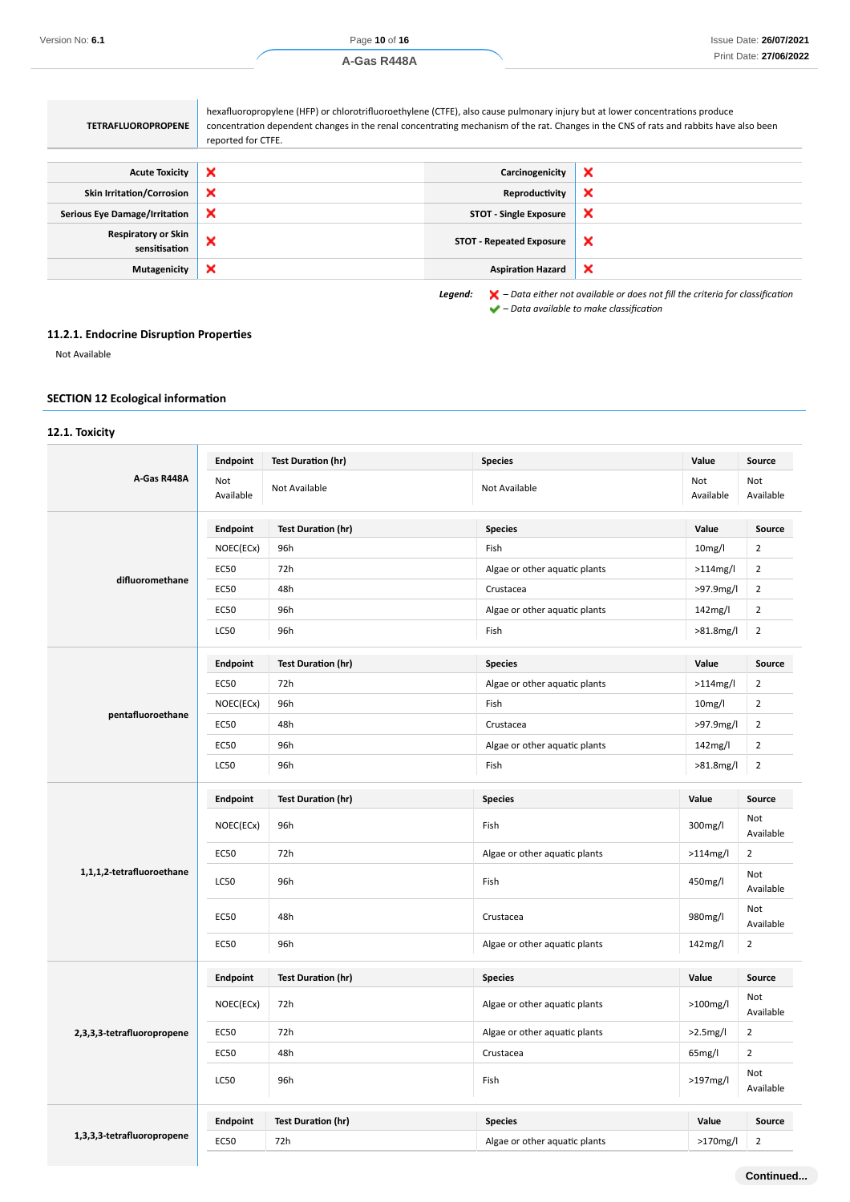| hexafluoropropylene (HFP) or chlorotrifluoroethylene (CTFE), also cause pulmonary injury but at lower concentrations produce<br>concentration dependent changes in the renal concentrating mechanism of the rat. Changes in the CNS of rats and rabbits have also been<br>reported for CTFE. |                                 |                           |
|----------------------------------------------------------------------------------------------------------------------------------------------------------------------------------------------------------------------------------------------------------------------------------------------|---------------------------------|---------------------------|
| ×                                                                                                                                                                                                                                                                                            | Carcinogenicity                 | ×                         |
| $\boldsymbol{\mathsf{x}}$                                                                                                                                                                                                                                                                    | Reproductivity                  | ×                         |
| ×                                                                                                                                                                                                                                                                                            | <b>STOT - Single Exposure</b>   | ×                         |
| ×                                                                                                                                                                                                                                                                                            | <b>STOT - Repeated Exposure</b> | $\boldsymbol{\mathsf{x}}$ |
| ×                                                                                                                                                                                                                                                                                            | <b>Aspiration Hazard</b>        | ×                         |
|                                                                                                                                                                                                                                                                                              |                                 |                           |

*Legend: – Data either not available or does not fill the criteria for classification – Data available to make classification*

# **11.2.1. Endocrine Disruption Properties**

the control of the control of the

Not Available

# **SECTION 12 Ecological information**

# **12.1. Toxicity**

|                            | Endpoint         | <b>Test Duration (hr)</b> | <b>Species</b>                | Value               | Source           |
|----------------------------|------------------|---------------------------|-------------------------------|---------------------|------------------|
| A-Gas R448A                | Not<br>Available | Not Available             | Not Available                 | Not<br>Available    | Not<br>Available |
|                            | Endpoint         | <b>Test Duration (hr)</b> | <b>Species</b>                | Value               | Source           |
|                            | NOEC(ECx)        | 96h                       | Fish                          | 10 <sub>mg</sub> /I | $\overline{2}$   |
|                            | <b>EC50</b>      | 72h                       | Algae or other aquatic plants | $>114$ mg/l         | $\overline{2}$   |
| difluoromethane            | <b>EC50</b>      | 48h                       | Crustacea                     | >97.9mg/l           | $\overline{2}$   |
|                            | <b>EC50</b>      | 96h                       | Algae or other aquatic plants | 142mg/l             | $\overline{2}$   |
|                            | LC50             | 96h                       | Fish                          | >81.8mg/l           | $\overline{2}$   |
|                            | Endpoint         | <b>Test Duration (hr)</b> | <b>Species</b>                | Value               | Source           |
|                            | <b>EC50</b>      | 72h                       | Algae or other aquatic plants | >114mg/l            | $\overline{2}$   |
|                            | NOEC(ECx)        | 96h                       | Fish                          | 10 <sub>mg</sub> /I | $\overline{2}$   |
| pentafluoroethane          | <b>EC50</b>      | 48h                       | Crustacea                     | >97.9mg/l           | $\overline{2}$   |
|                            | <b>EC50</b>      | 96h                       | Algae or other aquatic plants | 142mg/l             | $\overline{2}$   |
|                            | <b>LC50</b>      | 96h                       | Fish                          | >81.8mg/l           | $\overline{2}$   |
| 1,1,1,2-tetrafluoroethane  | Endpoint         | <b>Test Duration (hr)</b> | <b>Species</b>                | Value               | Source           |
|                            | NOEC(ECx)        | 96h                       | Fish                          | 300mg/l             | Not<br>Available |
|                            | <b>EC50</b>      | 72h                       | Algae or other aquatic plants | >114mg/l            | $\overline{2}$   |
|                            | LC50             | 96h                       | Fish                          | 450mg/l             | Not<br>Available |
|                            | <b>EC50</b>      | 48h                       | Crustacea                     | 980mg/l             | Not<br>Available |
|                            | <b>EC50</b>      | 96h                       | Algae or other aquatic plants | 142mg/l             | $\overline{2}$   |
|                            | <b>Endpoint</b>  | <b>Test Duration (hr)</b> | <b>Species</b>                | Value               | Source           |
|                            | NOEC(ECx)        | 72h                       | Algae or other aquatic plants | $>100$ mg/l         | Not<br>Available |
| 2,3,3,3-tetrafluoropropene | <b>EC50</b>      | 72h                       | Algae or other aquatic plants | $>2.5$ mg/l         | $\overline{2}$   |
|                            | <b>EC50</b>      | 48h                       | Crustacea                     | 65mg/l              | $\overline{2}$   |
|                            | LC50             | 96h                       | Fish                          | >197mg/l            | Not<br>Available |
|                            | Endpoint         | <b>Test Duration (hr)</b> | <b>Species</b>                | Value               | Source           |
| 1,3,3,3-tetrafluoropropene | <b>EC50</b>      | 72h                       | Algae or other aquatic plants | $>170$ mg/l         | $\overline{2}$   |
|                            |                  |                           |                               |                     |                  |

**Continued...**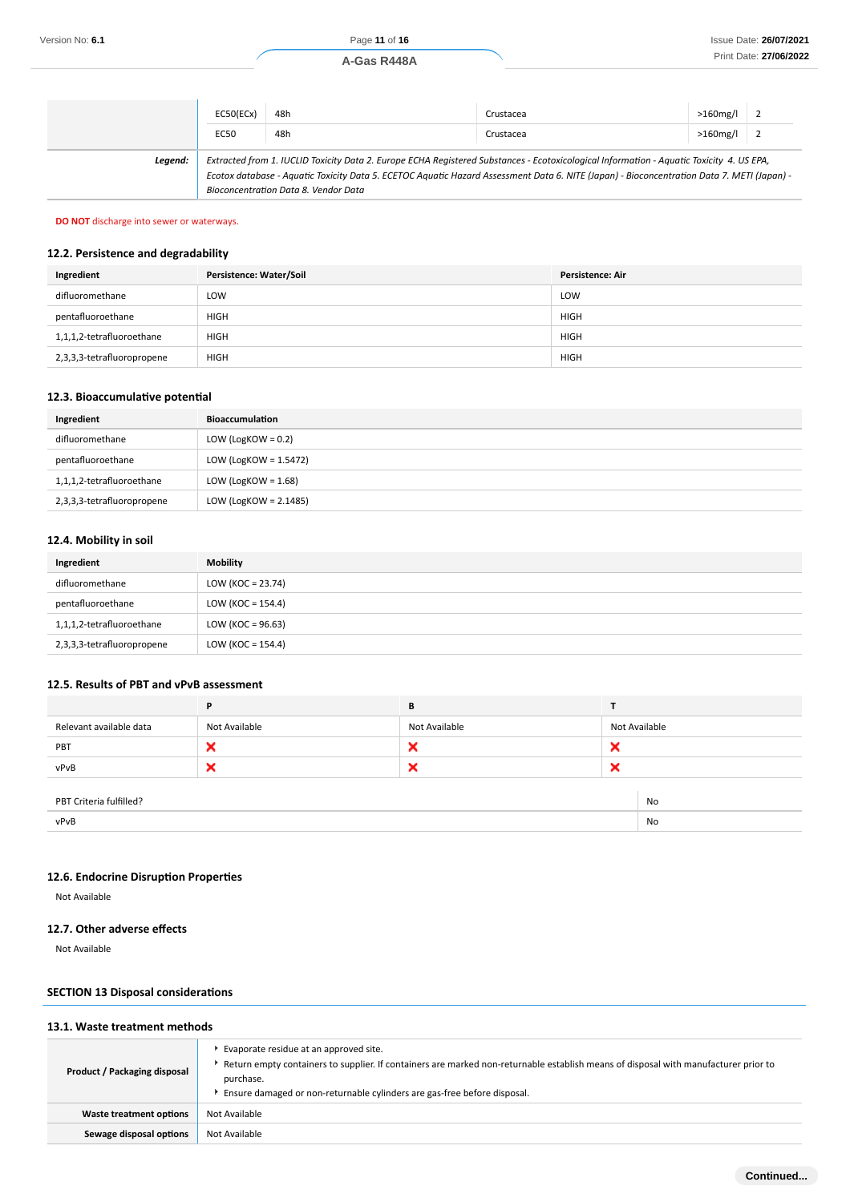|         | EC50(ECx) | 48h                                  | Crustacea                                                                                                                                                                                                                                                                              | $>160$ mg/l |  |
|---------|-----------|--------------------------------------|----------------------------------------------------------------------------------------------------------------------------------------------------------------------------------------------------------------------------------------------------------------------------------------|-------------|--|
|         | EC50      | 48h                                  | Crustacea                                                                                                                                                                                                                                                                              | $>160$ mg/l |  |
| Leaend: |           | Bioconcentration Data 8. Vendor Data | Extracted from 1. IUCLID Toxicity Data 2. Europe ECHA Registered Substances - Ecotoxicological Information - Aquatic Toxicity 4. US EPA,<br>Ecotox database - Aquatic Toxicity Data 5. ECETOC Aquatic Hazard Assessment Data 6. NITE (Japan) - Bioconcentration Data 7. METI (Japan) - |             |  |

# **DO NOT** discharge into sewer or waterways.

# **12.2. Persistence and degradability**

| Ingredient                 | Persistence: Water/Soil | <b>Persistence: Air</b> |
|----------------------------|-------------------------|-------------------------|
| difluoromethane            | LOW                     | <b>LOW</b>              |
| pentafluoroethane          | <b>HIGH</b>             | <b>HIGH</b>             |
| 1,1,1,2-tetrafluoroethane  | <b>HIGH</b>             | <b>HIGH</b>             |
| 2,3,3,3-tetrafluoropropene | <b>HIGH</b>             | <b>HIGH</b>             |

# **12.3. Bioaccumulative potential**

| Ingredient                 | Bioaccumulation        |
|----------------------------|------------------------|
| difluoromethane            | LOW (LogKOW = $0.2$ )  |
| pentafluoroethane          | LOW (LogKOW = 1.5472)  |
| 1,1,1,2-tetrafluoroethane  | LOW (LogKOW = $1.68$ ) |
| 2,3,3,3-tetrafluoropropene | LOW (LogKOW = 2.1485)  |

# **12.4. Mobility in soil**

| Ingredient                 | <b>Mobility</b>      |
|----------------------------|----------------------|
| difluoromethane            | LOW (KOC = $23.74$ ) |
| pentafluoroethane          | LOW (KOC = $154.4$ ) |
| 1,1,1,2-tetrafluoroethane  | LOW (KOC = $96.63$ ) |
| 2,3,3,3-tetrafluoropropene | LOW (KOC = $154.4$ ) |

#### **12.5. Results of PBT and vPvB assessment**

|                               | P             | В             |   |               |
|-------------------------------|---------------|---------------|---|---------------|
| Relevant available data       | Not Available | Not Available |   | Not Available |
| PBT                           | ×             | ×             | × |               |
| vPvB                          | ×             | ×             | × |               |
|                               |               |               |   |               |
| PBT Criteria fulfilled?<br>No |               |               |   |               |
| vPvB<br>No                    |               |               |   |               |

# **12.6. Endocrine Disruption Properties**

Not Available

# **12.7. Other adverse effects**

Not Available

# **SECTION 13 Disposal considerations**

| 13.1. Waste treatment methods |                                                                                                                                                                                                                                                                                |  |  |
|-------------------------------|--------------------------------------------------------------------------------------------------------------------------------------------------------------------------------------------------------------------------------------------------------------------------------|--|--|
| Product / Packaging disposal  | Evaporate residue at an approved site.<br>Return empty containers to supplier. If containers are marked non-returnable establish means of disposal with manufacturer prior to here to<br>purchase.<br>Ensure damaged or non-returnable cylinders are gas-free before disposal. |  |  |
| Waste treatment options       | Not Available                                                                                                                                                                                                                                                                  |  |  |
| Sewage disposal options       | Not Available                                                                                                                                                                                                                                                                  |  |  |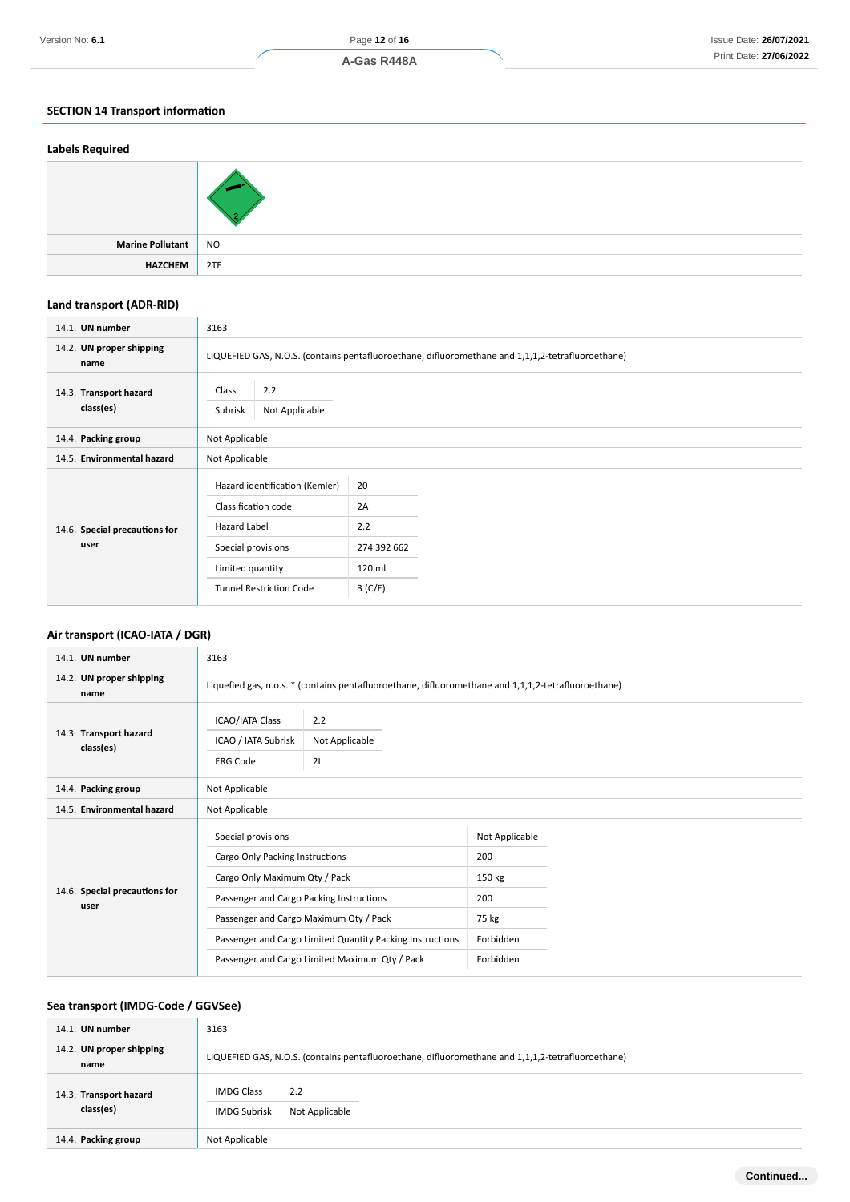# **SECTION 14 Transport information**

| <b>Labels Required</b> |           |
|------------------------|-----------|
|                        |           |
| Marine Pollutant       | <b>NO</b> |
| <b>HAZCHEM</b>         | 2TE       |

# **Land transport (ADR-RID)**

| 14.1. UN number                     | 3163                                      |                                                                                                   |  |  |
|-------------------------------------|-------------------------------------------|---------------------------------------------------------------------------------------------------|--|--|
| 14.2. UN proper shipping<br>name    |                                           | LIQUEFIED GAS, N.O.S. (contains pentafluoroethane, difluoromethane and 1,1,1,2-tetrafluoroethane) |  |  |
| 14.3. Transport hazard<br>class(es) | 2.2<br>Class<br>Not Applicable<br>Subrisk |                                                                                                   |  |  |
| 14.4. Packing group                 | Not Applicable                            |                                                                                                   |  |  |
| 14.5. Environmental hazard          | Not Applicable                            |                                                                                                   |  |  |
|                                     | Hazard identification (Kemler)            | 20                                                                                                |  |  |
|                                     | Classification code                       | 2A                                                                                                |  |  |
| 14.6. Special precautions for       | Hazard Label                              | 2.2                                                                                               |  |  |
| user                                | Special provisions                        | 274 392 662                                                                                       |  |  |
|                                     | Limited quantity                          | 120 ml                                                                                            |  |  |
|                                     | <b>Tunnel Restriction Code</b>            | 3(C/E)                                                                                            |  |  |

# **Air transport (ICAO-IATA / DGR)**

| 14.1. UN number                       | 3163                                                                                                                                                                                                                                                                                        |                                                                                                     |                                                                           |  |
|---------------------------------------|---------------------------------------------------------------------------------------------------------------------------------------------------------------------------------------------------------------------------------------------------------------------------------------------|-----------------------------------------------------------------------------------------------------|---------------------------------------------------------------------------|--|
| 14.2. UN proper shipping<br>name      |                                                                                                                                                                                                                                                                                             | Liquefied gas, n.o.s. * (contains pentafluoroethane, difluoromethane and 1,1,1,2-tetrafluoroethane) |                                                                           |  |
| 14.3. Transport hazard<br>class(es)   | <b>ICAO/IATA Class</b><br>ICAO / IATA Subrisk<br><b>ERG Code</b>                                                                                                                                                                                                                            | 2.2<br>Not Applicable<br>2L                                                                         |                                                                           |  |
| 14.4. Packing group                   | Not Applicable                                                                                                                                                                                                                                                                              |                                                                                                     |                                                                           |  |
| 14.5. Environmental hazard            | Not Applicable                                                                                                                                                                                                                                                                              |                                                                                                     |                                                                           |  |
| 14.6. Special precautions for<br>user | Special provisions<br>Cargo Only Packing Instructions<br>Cargo Only Maximum Qty / Pack<br>Passenger and Cargo Packing Instructions<br>Passenger and Cargo Maximum Qty / Pack<br>Passenger and Cargo Limited Quantity Packing Instructions<br>Passenger and Cargo Limited Maximum Qty / Pack |                                                                                                     | Not Applicable<br>200<br>150 kg<br>200<br>75 kg<br>Forbidden<br>Forbidden |  |

# **Sea transport (IMDG-Code / GGVSee)**

| 14.1. UN number                     | 3163                                     |                                                                                                   |  |  |
|-------------------------------------|------------------------------------------|---------------------------------------------------------------------------------------------------|--|--|
| 14.2. UN proper shipping<br>name    |                                          | LIQUEFIED GAS, N.O.S. (contains pentafluoroethane, difluoromethane and 1,1,1,2-tetrafluoroethane) |  |  |
| 14.3. Transport hazard<br>class(es) | <b>IMDG Class</b><br><b>IMDG Subrisk</b> | 2.2<br>Not Applicable                                                                             |  |  |
| 14.4. Packing group                 | Not Applicable                           |                                                                                                   |  |  |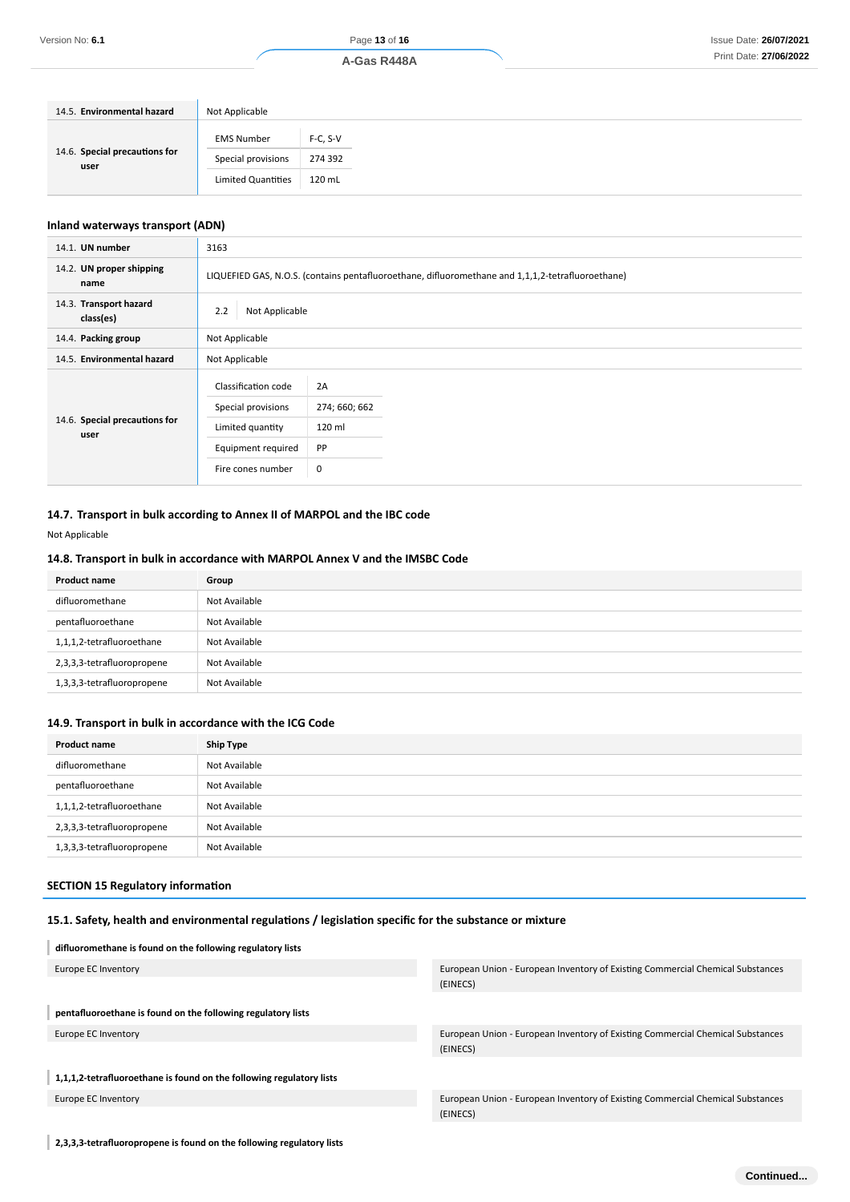| 14.5. Environmental hazard            | Not Applicable     |            |
|---------------------------------------|--------------------|------------|
| 14.6. Special precautions for<br>user | <b>EMS Number</b>  | $F-C. S-V$ |
|                                       | Special provisions | 274 392    |
|                                       | Limited Quantities | 120 mL     |

# **Inland waterways transport (ADN)**

| 14.1. UN number                       | 3163                                                                                                     |                                                 |  |
|---------------------------------------|----------------------------------------------------------------------------------------------------------|-------------------------------------------------|--|
| 14.2. UN proper shipping<br>name      | LIQUEFIED GAS, N.O.S. (contains pentafluoroethane, difluoromethane and 1,1,1,2-tetrafluoroethane)        |                                                 |  |
| 14.3. Transport hazard<br>class(es)   | 2.2<br>Not Applicable                                                                                    |                                                 |  |
| 14.4. Packing group                   | Not Applicable                                                                                           |                                                 |  |
| 14.5. Environmental hazard            | Not Applicable                                                                                           |                                                 |  |
| 14.6. Special precautions for<br>user | Classification code<br>Special provisions<br>Limited quantity<br>Equipment required<br>Fire cones number | 2A<br>274; 660; 662<br>120 ml<br><b>PP</b><br>0 |  |

# **14.7. Transport in bulk according to Annex II of MARPOL and the IBC code**

Not Applicable

# **14.8. Transport in bulk in accordance with MARPOL Annex V and the IMSBC Code**

| <b>Product name</b>        | Group         |
|----------------------------|---------------|
| difluoromethane            | Not Available |
| pentafluoroethane          | Not Available |
| 1,1,1,2-tetrafluoroethane  | Not Available |
| 2,3,3,3-tetrafluoropropene | Not Available |
| 1,3,3,3-tetrafluoropropene | Not Available |

# **14.9. Transport in bulk in accordance with the ICG Code**

| <b>Product name</b>        | Ship Type     |
|----------------------------|---------------|
| difluoromethane            | Not Available |
| pentafluoroethane          | Not Available |
| 1,1,1,2-tetrafluoroethane  | Not Available |
| 2,3,3,3-tetrafluoropropene | Not Available |
| 1,3,3,3-tetrafluoropropene | Not Available |

#### **SECTION 15 Regulatory information**

# **15.1. Safety, health and environmental regulations / legislation specific for the substance or mixture**

| difluoromethane is found on the following regulatory lists           |                                                                                            |
|----------------------------------------------------------------------|--------------------------------------------------------------------------------------------|
| Europe EC Inventory                                                  | European Union - European Inventory of Existing Commercial Chemical Substances<br>(EINECS) |
| pentafluoroethane is found on the following regulatory lists         |                                                                                            |
| Europe EC Inventory                                                  | European Union - European Inventory of Existing Commercial Chemical Substances<br>(EINECS) |
| 1,1,1,2-tetrafluoroethane is found on the following regulatory lists |                                                                                            |
| Europe EC Inventory                                                  | European Union - European Inventory of Existing Commercial Chemical Substances<br>(EINECS) |
|                                                                      |                                                                                            |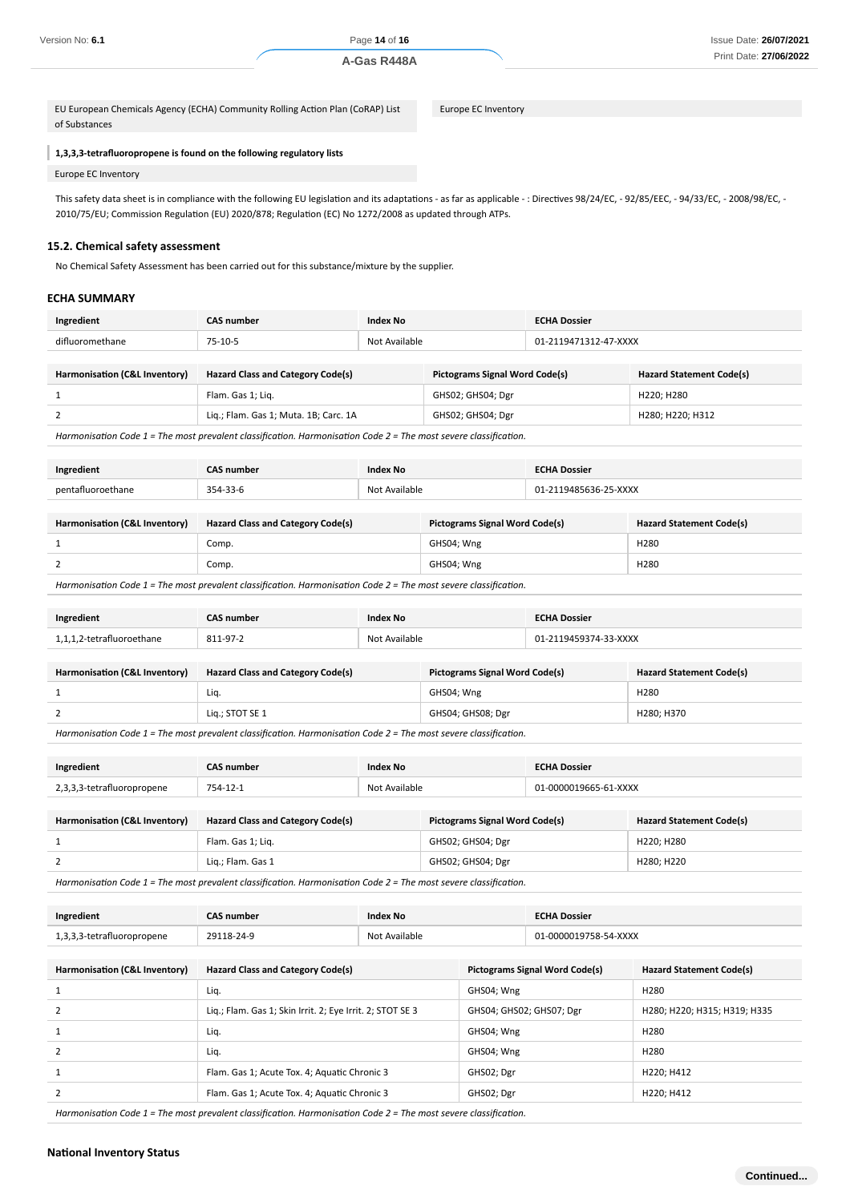EU European Chemicals Agency (ECHA) Community Rolling Action Plan (CoRAP) List of Substances

Europe EC Inventory

#### **1,3,3,3-tetrafluoropropene is found on the following regulatory lists**

#### Europe EC Inventory

This safety data sheet is in compliance with the following EU legislation and its adaptations - as far as applicable - : Directives 98/24/EC, - 92/85/EEC, - 94/33/EC, - 2008/98/EC, - 2010/75/EU; Commission Regulation (EU) 2020/878; Regulation (EC) No 1272/2008 as updated through ATPs.

#### **15.2. Chemical safety assessment**

No Chemical Safety Assessment has been carried out for this substance/mixture by the supplier.

#### **ECHA SUMMARY**

| Ingredient | <b>CAS number</b> |    | <b>ECHA Dossier</b> |
|------------|-------------------|----|---------------------|
| ditlır     | $75 - 10 - 1$     | ۱ω | <b>XXXX</b>         |

| Harmonisation (C&L Inventory) | <b>Hazard Class and Category Code(s)</b> | <b>Pictograms Signal Word Code(s)</b> | <b>Hazard Statement Code(s)</b> |
|-------------------------------|------------------------------------------|---------------------------------------|---------------------------------|
|                               | Flam. Gas 1: Lig.                        | GHS02; GHS04; Dgr                     | H220: H280                      |
|                               | Lig.; Flam. Gas 1; Muta. 1B; Carc. 1A    | GHS02; GHS04; Dgr                     | H280: H220: H312                |

*Harmonisation Code 1 = The most prevalent classification. Harmonisation Code 2 = The most severe classification.*

| Ingredient                                                                                    | <b>CAS number</b>                        | Index No      |                                       | <b>ECHA Dossier</b> |                                 |
|-----------------------------------------------------------------------------------------------|------------------------------------------|---------------|---------------------------------------|---------------------|---------------------------------|
| pentafluoroethane                                                                             | 354-33-6                                 | Not Available | 01-2119485636-25-XXXX                 |                     |                                 |
|                                                                                               |                                          |               |                                       |                     |                                 |
| Harmonisation (C&L Inventory)                                                                 | <b>Hazard Class and Category Code(s)</b> |               | <b>Pictograms Signal Word Code(s)</b> |                     | <b>Hazard Statement Code(s)</b> |
|                                                                                               | Comp.                                    |               | GHS04; Wng                            |                     | H <sub>280</sub>                |
|                                                                                               | Comp.                                    |               | GHS04; Wng                            |                     | H280                            |
| Hennistical Ceda ( The mest considert desillation Hennistical Ceda ( The mest considerable of |                                          |               |                                       |                     |                                 |

*Harmonisation Code 1 = The most prevalent classification. Harmonisation Code 2 = The most severe classification.*

| Ingredient                    | <b>CAS number</b>                        | Index No      |                                       | <b>ECHA Dossier</b>   |                                 |
|-------------------------------|------------------------------------------|---------------|---------------------------------------|-----------------------|---------------------------------|
| 1,1,1,2-tetrafluoroethane     | 811-97-2                                 | Not Available |                                       | 01-2119459374-33-XXXX |                                 |
|                               |                                          |               |                                       |                       |                                 |
| Harmonisation (C&L Inventory) | <b>Hazard Class and Category Code(s)</b> |               | <b>Pictograms Signal Word Code(s)</b> |                       | <b>Hazard Statement Code(s)</b> |
|                               | Liq.                                     |               | GHS04; Wng                            |                       | H <sub>280</sub>                |
|                               | Lig.; STOT SE 1                          |               | GHS04; GHS08; Dgr                     |                       | H280; H370                      |

*Harmonisation Code 1 = The most prevalent classification. Harmonisation Code 2 = The most severe classification.*

| Ingredient                 | CAS number | <b>Index No</b> | <b>ECHA Dossier</b>   |
|----------------------------|------------|-----------------|-----------------------|
| 2,3,3,3-tetrafluoropropene | 754-12-1   | Not Available   | 01-0000019665-61-XXXX |
|                            |            |                 |                       |

| Harmonisation (C&L Inventory) | <b>Hazard Class and Category Code(s)</b> | <b>Pictograms Signal Word Code(s)</b> | <b>Hazard Statement Code(s)</b> |
|-------------------------------|------------------------------------------|---------------------------------------|---------------------------------|
|                               | Flam. Gas 1; Lig.                        | GHS02; GHS04; Dgr                     | H220: H280                      |
|                               | Lig.; Flam. Gas 1                        | GHS02; GHS04; Dgr                     | H280: H220                      |

*Harmonisation Code 1 = The most prevalent classification. Harmonisation Code 2 = The most severe classification.*

| Ingredient                 | <b>CAS number</b> | Index No      | <b>ECHA Dossier</b>   |
|----------------------------|-------------------|---------------|-----------------------|
| 1,3,3,3-tetrafluoropropene | 29118-24-9        | Not Available | 01-0000019758-54-XXXX |

| Harmonisation (C&L Inventory)                                                              | <b>Hazard Class and Category Code(s)</b>                  | <b>Pictograms Signal Word Code(s)</b> | <b>Hazard Statement Code(s)</b> |  |
|--------------------------------------------------------------------------------------------|-----------------------------------------------------------|---------------------------------------|---------------------------------|--|
|                                                                                            | Liq.                                                      | GHS04; Wng                            | H <sub>280</sub>                |  |
|                                                                                            | Liq.; Flam. Gas 1; Skin Irrit. 2; Eye Irrit. 2; STOT SE 3 | GHS04; GHS02; GHS07; Dgr              | H280; H220; H315; H319; H335    |  |
|                                                                                            | Liq.                                                      | GHS04; Wng                            | H <sub>280</sub>                |  |
|                                                                                            | Liq.                                                      | GHS04; Wng                            | H280                            |  |
|                                                                                            | Flam. Gas 1; Acute Tox. 4; Aquatic Chronic 3              | GHS02; Dgr                            | H220; H412                      |  |
|                                                                                            | Flam. Gas 1; Acute Tox. 4; Aquatic Chronic 3              | GHS02; Dgr                            | H220; H412                      |  |
| コロール・ショット・オール・オー・デレー シー・エー・エー・エー・エー・ピー・エンジニュー シー・エンジェン みっぱい カー・デレー シー・エー・エー・エー・エー・ピー・エンジェン |                                                           |                                       |                                 |  |

*Harmonisation Code 1 = The most prevalent classification. Harmonisation Code 2 = The most severe classification.*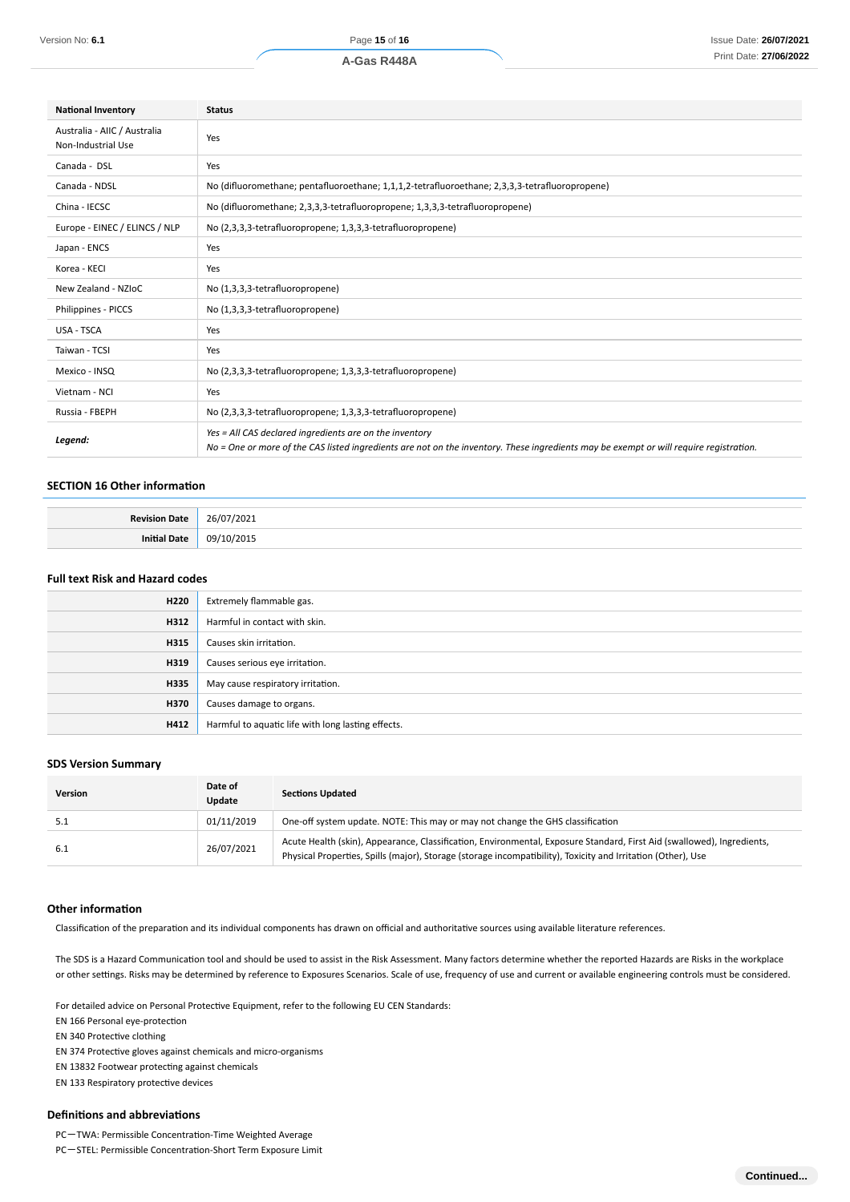| <b>National Inventory</b>                          | <b>Status</b>                                                                                                                                                                                     |  |  |
|----------------------------------------------------|---------------------------------------------------------------------------------------------------------------------------------------------------------------------------------------------------|--|--|
| Australia - AIIC / Australia<br>Non-Industrial Use | Yes                                                                                                                                                                                               |  |  |
| Canada - DSL                                       | Yes                                                                                                                                                                                               |  |  |
| Canada - NDSL                                      | No (difluoromethane; pentafluoroethane; 1,1,1,2-tetrafluoroethane; 2,3,3,3-tetrafluoropropene)                                                                                                    |  |  |
| China - IECSC                                      | No (difluoromethane; 2,3,3,3-tetrafluoropropene; 1,3,3,3-tetrafluoropropene)                                                                                                                      |  |  |
| Europe - EINEC / ELINCS / NLP                      | No (2,3,3,3-tetrafluoropropene; 1,3,3,3-tetrafluoropropene)                                                                                                                                       |  |  |
| Japan - ENCS                                       | Yes                                                                                                                                                                                               |  |  |
| Korea - KECI                                       | Yes                                                                                                                                                                                               |  |  |
| New Zealand - NZIoC                                | No (1,3,3,3-tetrafluoropropene)                                                                                                                                                                   |  |  |
| Philippines - PICCS                                | No (1,3,3,3-tetrafluoropropene)                                                                                                                                                                   |  |  |
| USA - TSCA                                         | Yes                                                                                                                                                                                               |  |  |
| Taiwan - TCSI                                      | Yes                                                                                                                                                                                               |  |  |
| Mexico - INSQ                                      | No (2,3,3,3-tetrafluoropropene; 1,3,3,3-tetrafluoropropene)                                                                                                                                       |  |  |
| Vietnam - NCI                                      | Yes                                                                                                                                                                                               |  |  |
| Russia - FBEPH                                     | No (2,3,3,3-tetrafluoropropene; 1,3,3,3-tetrafluoropropene)                                                                                                                                       |  |  |
| Legend:                                            | Yes = All CAS declared ingredients are on the inventory<br>No = One or more of the CAS listed ingredients are not on the inventory. These ingredients may be exempt or will require registration. |  |  |

#### **SECTION 16 Other information**

| <b>D</b> o |  |
|------------|--|
|            |  |

# **Full text Risk and Hazard codes**

| H220 | Extremely flammable gas.                           |
|------|----------------------------------------------------|
| H312 | Harmful in contact with skin.                      |
| H315 | Causes skin irritation.                            |
| H319 | Causes serious eye irritation.                     |
| H335 | May cause respiratory irritation.                  |
| H370 | Causes damage to organs.                           |
| H412 | Harmful to aquatic life with long lasting effects. |

#### **SDS Version Summary**

| Version | Date of<br>Update | <b>Sections Updated</b>                                                                                                                                                                                                                |
|---------|-------------------|----------------------------------------------------------------------------------------------------------------------------------------------------------------------------------------------------------------------------------------|
|         | 01/11/2019        | One-off system update. NOTE: This may or may not change the GHS classification                                                                                                                                                         |
| 6.1     | 26/07/2021        | Acute Health (skin), Appearance, Classification, Environmental, Exposure Standard, First Aid (swallowed), Ingredients,<br>Physical Properties, Spills (major), Storage (storage incompatibility), Toxicity and Irritation (Other), Use |

#### **Other information**

Classification of the preparation and its individual components has drawn on official and authoritative sources using available literature references.

The SDS is a Hazard Communication tool and should be used to assist in the Risk Assessment. Many factors determine whether the reported Hazards are Risks in the workplace or other settings. Risks may be determined by reference to Exposures Scenarios. Scale of use, frequency of use and current or available engineering controls must be considered.

For detailed advice on Personal Protective Equipment, refer to the following EU CEN Standards:

EN 166 Personal eye-protection

EN 340 Protective clothing

EN 374 Protective gloves against chemicals and micro-organisms

EN 13832 Footwear protecting against chemicals

EN 133 Respiratory protective devices

### **Definitions and abbreviations**

PC-TWA: Permissible Concentration-Time Weighted Average

PC-STEL: Permissible Concentration-Short Term Exposure Limit